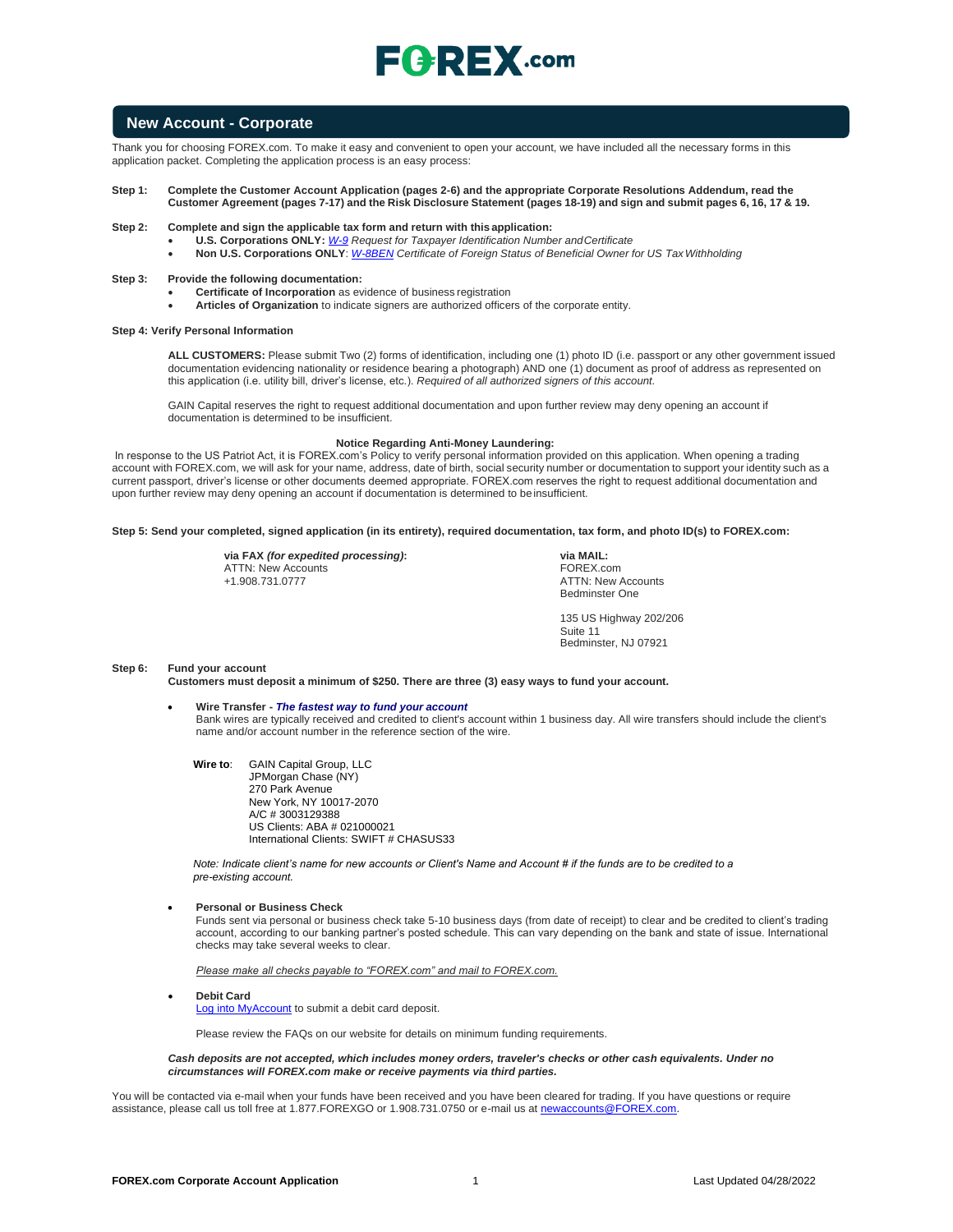# $E$ **C**  $R$ **EX** .com

### **New Account - Corporate**

Thank you for choosing FOREX.com. To make it easy and convenient to open your account, we have included all the necessary forms in this application packet. Completing the application process is an easy process:

#### **Step 1: Complete the Customer Account Application (pages 2-6) and the appropriate Corporate Resolutions Addendum, read the**  Customer Agreement (pages 7-17) and the Risk Disclosure Statement (pages 18-19) and sign and submit pages 6, 16, 17 & 19.

- **Step 2: Complete and sign the applicable tax form and return with this application:**
	- **U.S. Corporations ONLY:** *[W-9](https://www.irs.gov/pub/irs-pdf/fw9.pdf) Request for Taxpayer Identification Number andCertificate*

• **Non U.S. Corporations ONLY**: *[W-8BEN](https://www.irs.gov/pub/irs-pdf/fw8ben.pdf) Certificate of Foreign Status of Beneficial Owner for US TaxWithholding*

#### **Step 3: Provide the following documentation:**

- **Certificate of Incorporation** as evidence of business registration
	- **Articles of Organization** to indicate signers are authorized officers of the corporate entity.

#### **Step 4: Verify Personal Information**

**ALL CUSTOMERS:** Please submit Two (2) forms of identification, including one (1) photo ID (i.e. passport or any other government issued documentation evidencing nationality or residence bearing a photograph) AND one (1) document as proof of address as represented on this application (i.e. utility bill, driver's license, etc.). *Required of all authorized signers of this account.*

GAIN Capital reserves the right to request additional documentation and upon further review may deny opening an account if documentation is determined to be insufficient.

#### **Notice Regarding Anti-Money Laundering:**

In response to the US Patriot Act, it is FOREX.com's Policy to verify personal information provided on this application. When opening a trading account with FOREX.com, we will ask for your name, address, date of birth, social security number or documentation to support your identity such as a current passport, driver's license or other documents deemed appropriate. FOREX.com reserves the right to request additional documentation and upon further review may deny opening an account if documentation is determined to be insufficient.

#### **Step 5: Send your completed, signed application (in its entirety), required documentation, tax form, and photo ID(s) to FOREX.com:**

**via FAX** *(for expedited processing)***:** ATTN: New Accounts +1.908.731.0777

**via MAIL:** FOREX.com ATTN: New Accounts Bedminster One

135 US Highway 202/206 Suite 11 Bedminster, NJ 07921

#### **Step 6: Fund your account**

**Customers must deposit a minimum of \$250. There are three (3) easy ways to fund your account.**

- **Wire Transfer -** *The fastest way to fund your account* Bank wires are typically received and credited to client's account within 1 business day. All wire transfers should include the client's name and/or account number in the reference section of the wire.
	- **Wire to**: GAIN Capital Group, LLC JPMorgan Chase (NY) 270 Park Avenue New York, NY 10017-2070 A/C # 3003129388 US Clients: ABA # 021000021 International Clients: SWIFT # CHASUS33

*Note: Indicate client's name for new accounts or Client's Name and Account # if the funds are to be credited to a pre-existing account.*

#### • **Personal or Business Check**

Funds sent via personal or business check take 5-10 business days (from date of receipt) to clear and be credited to client's trading account, according to our banking partner's posted schedule. This can vary depending on the bank and state of issue. International checks may take several weeks to clear.

*Please make all checks payable to "FOREX.com" and mail to FOREX.com.*

• **Debit Card**

[Log into MyAccount](http://www.forex.com/myaccount.html) to submit a debit card deposit.

Please review the FAQs on our website for details on minimum funding requirements.

*Cash deposits are not accepted, which includes money orders, traveler's checks or other cash equivalents. Under no circumstances will FOREX.com make or receive payments via third parties.*

You will be contacted via e-mail when your funds have been received and you have been cleared for trading. If you have questions or require assistance, please call us toll free at 1.877.FOREXGO or 1.908.731.0750 or e-mail us a[t newaccounts@FOREX.com.](mailto:newaccounts@forex.com)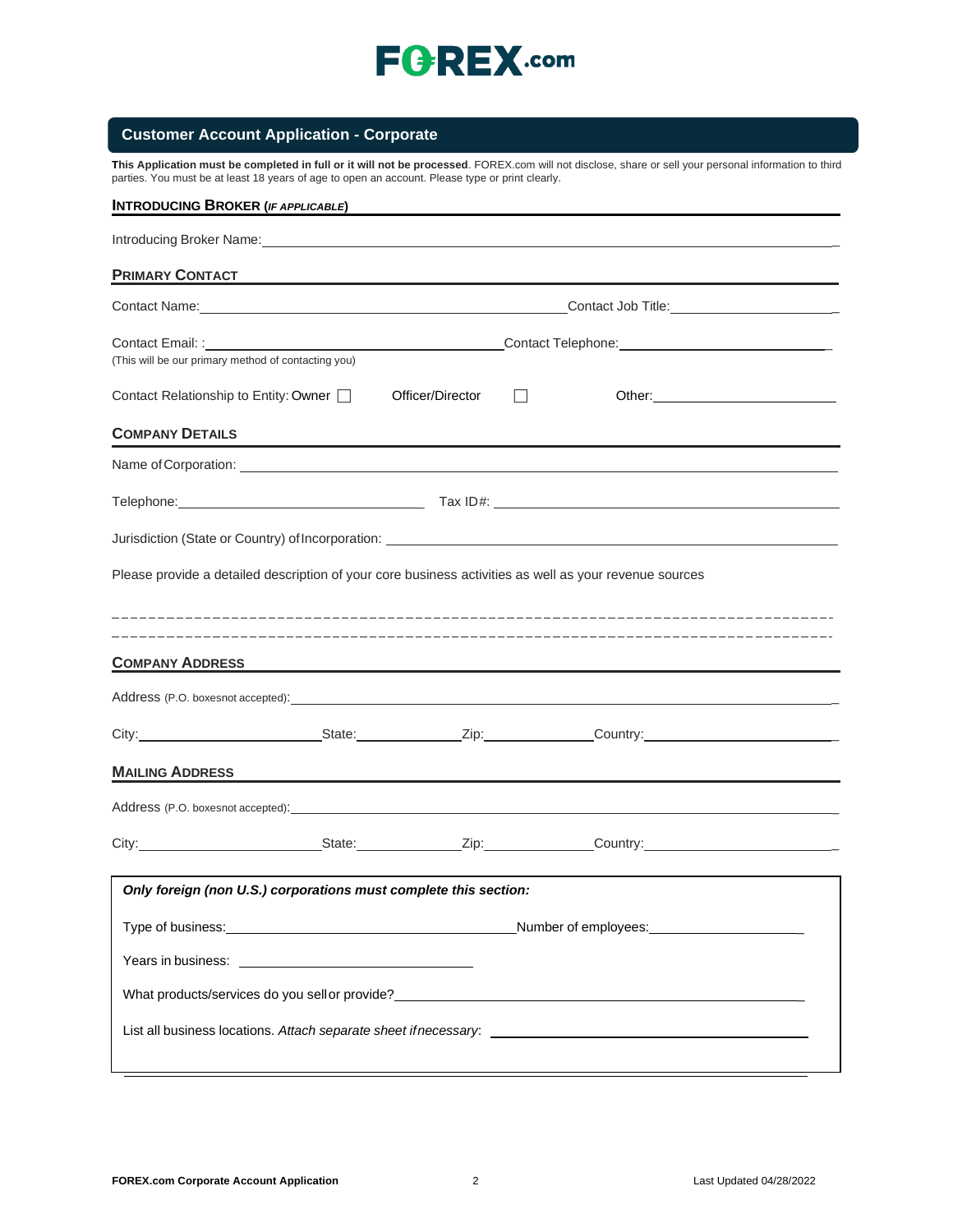

## **Customer Account Application - Corporate**

**This Application must be completed in full or it will not be processed**. FOREX.com will not disclose, share or sell your personal information to third parties. You must be at least 18 years of age to open an account. Please type or print clearly.

| <b>INTRODUCING BROKER (IF APPLICABLE)</b>                                                                                                                                                                                      |                                                                                                                       |                  |                                                                                                                                                                                                                                |  |
|--------------------------------------------------------------------------------------------------------------------------------------------------------------------------------------------------------------------------------|-----------------------------------------------------------------------------------------------------------------------|------------------|--------------------------------------------------------------------------------------------------------------------------------------------------------------------------------------------------------------------------------|--|
|                                                                                                                                                                                                                                |                                                                                                                       |                  |                                                                                                                                                                                                                                |  |
| <b>PRIMARY CONTACT</b>                                                                                                                                                                                                         |                                                                                                                       |                  |                                                                                                                                                                                                                                |  |
|                                                                                                                                                                                                                                |                                                                                                                       |                  |                                                                                                                                                                                                                                |  |
|                                                                                                                                                                                                                                |                                                                                                                       |                  |                                                                                                                                                                                                                                |  |
| (This will be our primary method of contacting you)                                                                                                                                                                            |                                                                                                                       |                  |                                                                                                                                                                                                                                |  |
| Contact Relationship to Entity: Owner                                                                                                                                                                                          |                                                                                                                       | Officer/Director |                                                                                                                                                                                                                                |  |
| <b>COMPANY DETAILS</b>                                                                                                                                                                                                         |                                                                                                                       |                  |                                                                                                                                                                                                                                |  |
|                                                                                                                                                                                                                                |                                                                                                                       |                  | Name of Corporation: example and a series of Corporation:                                                                                                                                                                      |  |
|                                                                                                                                                                                                                                |                                                                                                                       |                  |                                                                                                                                                                                                                                |  |
|                                                                                                                                                                                                                                |                                                                                                                       |                  |                                                                                                                                                                                                                                |  |
| Please provide a detailed description of your core business activities as well as your revenue sources                                                                                                                         |                                                                                                                       |                  |                                                                                                                                                                                                                                |  |
| <b>COMPANY ADDRESS</b>                                                                                                                                                                                                         | <u> 1989 - Johann Stoff, deutscher Stoff, der Stoff, der Stoff, der Stoff, der Stoff, der Stoff, der Stoff, der S</u> |                  |                                                                                                                                                                                                                                |  |
| Address (P.O. boxesnot accepted): Note that the contract of the contract of the contract of the contract of the contract of the contract of the contract of the contract of the contract of the contract of the contract of th |                                                                                                                       |                  |                                                                                                                                                                                                                                |  |
|                                                                                                                                                                                                                                |                                                                                                                       |                  | City: City: City: City: Culture Country: Country: Country: Country: Country: Country: Country: Country: Country: Country: Country: Country: Country: Country: Country: Country: Country: Country: Country: Country: Country: C |  |
| <b>MAILING ADDRESS</b>                                                                                                                                                                                                         |                                                                                                                       |                  |                                                                                                                                                                                                                                |  |
|                                                                                                                                                                                                                                |                                                                                                                       |                  |                                                                                                                                                                                                                                |  |
|                                                                                                                                                                                                                                |                                                                                                                       |                  | City: City: City: City: Culture Country: Country: Country: Country: Country: Country: Country: Country: Country: Country: Country: Country: Country: Country: Country: Country: Country: Country: Country: Country: Country: C |  |
| Only foreign (non U.S.) corporations must complete this section:                                                                                                                                                               |                                                                                                                       |                  |                                                                                                                                                                                                                                |  |
|                                                                                                                                                                                                                                |                                                                                                                       |                  | Number of employees: Number of employees:                                                                                                                                                                                      |  |
|                                                                                                                                                                                                                                |                                                                                                                       |                  |                                                                                                                                                                                                                                |  |
|                                                                                                                                                                                                                                |                                                                                                                       |                  | What products/services do you sell or provide?<br>What products/services do you sell or provide?                                                                                                                               |  |
|                                                                                                                                                                                                                                |                                                                                                                       |                  |                                                                                                                                                                                                                                |  |
|                                                                                                                                                                                                                                |                                                                                                                       |                  |                                                                                                                                                                                                                                |  |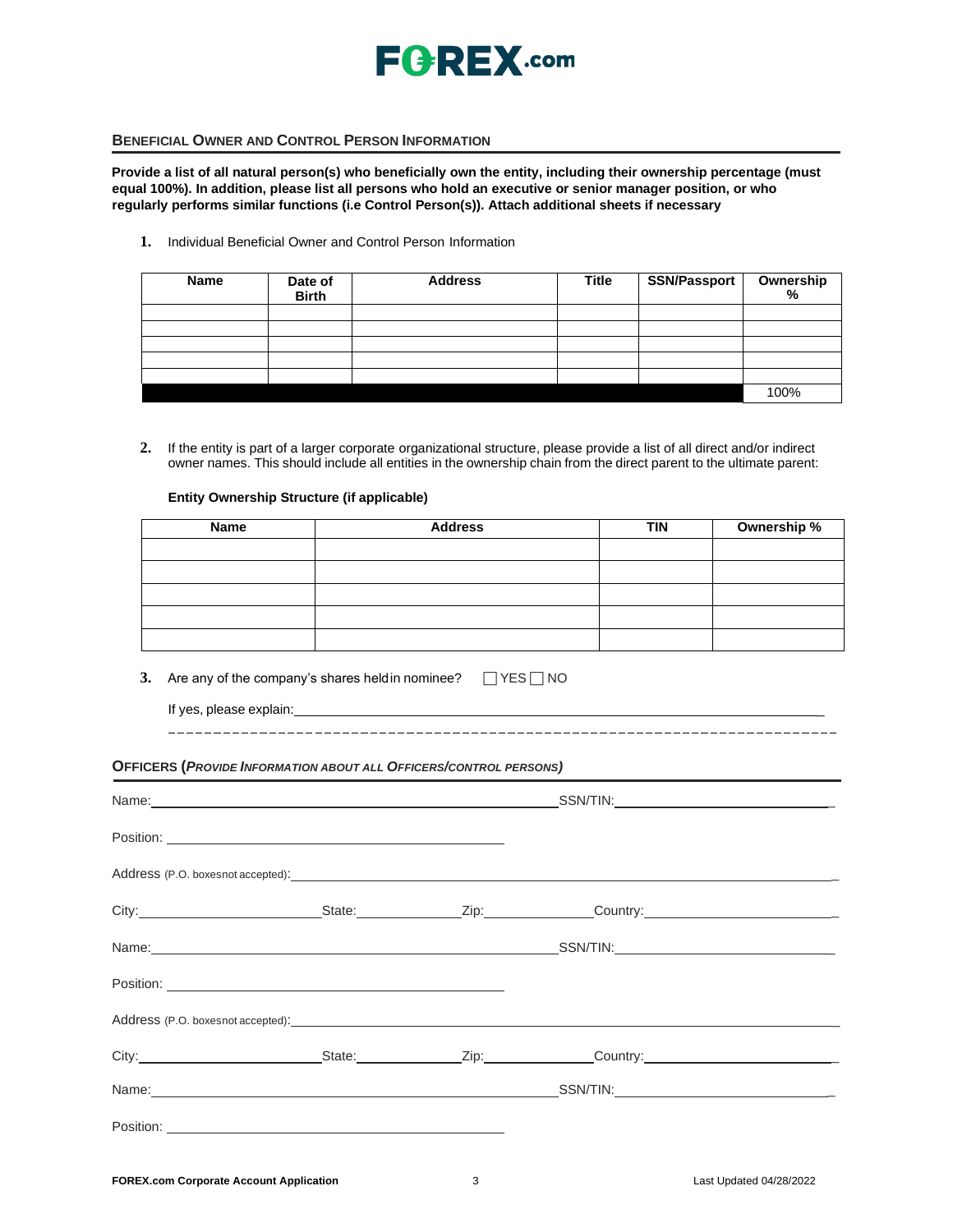

### **BENEFICIAL OWNER AND CONTROL PERSON INFORMATION**

**Provide a list of all natural person(s) who beneficially own the entity, including their ownership percentage (must equal 100%). In addition, please list all persons who hold an executive or senior manager position, or who regularly performs similar functions (i.e Control Person(s)). Attach additional sheets if necessary**

**1.** Individual Beneficial Owner and Control Person Information

| <b>Name</b> | Date of<br><b>Birth</b> | <b>Address</b> | <b>Title</b> | SSN/Passport | Ownership<br>% |
|-------------|-------------------------|----------------|--------------|--------------|----------------|
|             |                         |                |              |              |                |
|             |                         |                |              |              |                |
|             |                         |                |              |              |                |
|             |                         |                |              |              |                |
|             |                         |                |              |              |                |
|             |                         |                |              |              | 100%           |

**2.** If the entity is part of a larger corporate organizational structure, please provide a list of all direct and/or indirect owner names. This should include all entities in the ownership chain from the direct parent to the ultimate parent:

### **Entity Ownership Structure (if applicable)**

| Name | <b>Address</b> | <b>TIN</b> | Ownership % |
|------|----------------|------------|-------------|
|      |                |            |             |
|      |                |            |             |
|      |                |            |             |
|      |                |            |             |
|      |                |            |             |

- **3.** Are any of the company's shares heldin nominee?  $\Box$  YES  $\Box$  NO
	- If yes, please explain:

**OFFICERS (***PROVIDE INFORMATION ABOUT ALL OFFICERS/CONTROL PERSONS)*

|                                                                                                                                                                                                                                |  | City: City: City: City: City: Country:                                                                                                                                                                                         |
|--------------------------------------------------------------------------------------------------------------------------------------------------------------------------------------------------------------------------------|--|--------------------------------------------------------------------------------------------------------------------------------------------------------------------------------------------------------------------------------|
|                                                                                                                                                                                                                                |  |                                                                                                                                                                                                                                |
|                                                                                                                                                                                                                                |  |                                                                                                                                                                                                                                |
| Address (P.O. boxesnot accepted): example and a series of the series of the series of the series of the series of the series of the series of the series of the series of the series of the series of the series of the series |  |                                                                                                                                                                                                                                |
|                                                                                                                                                                                                                                |  | City: City: City: City: Current Country: Country: Country: Country: Country: Country: Country: Country: Country: Country: Country: Country: Country: Country: Country: Country: Country: Country: Country: Country: Country: C |
|                                                                                                                                                                                                                                |  |                                                                                                                                                                                                                                |
|                                                                                                                                                                                                                                |  |                                                                                                                                                                                                                                |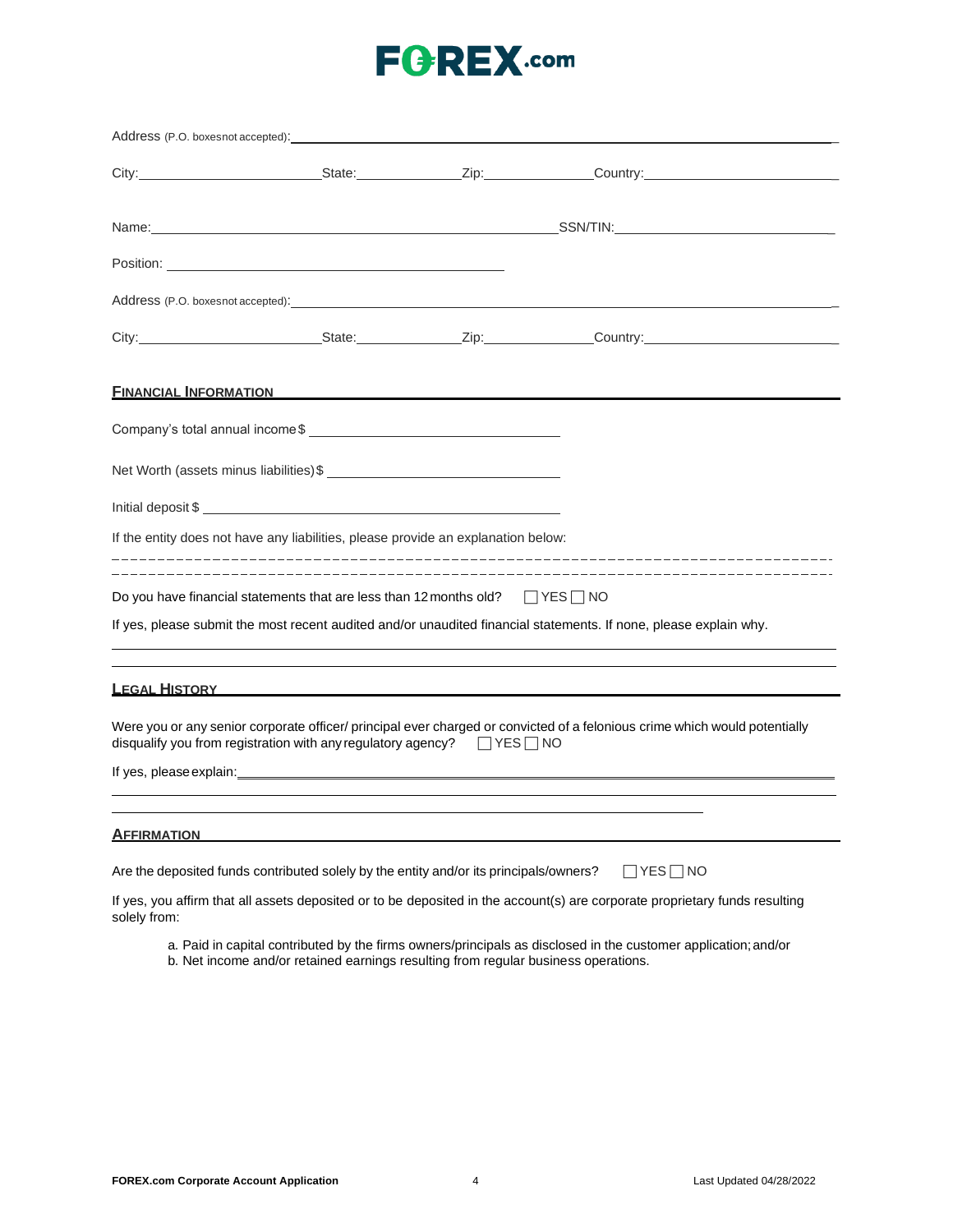# **FGREX.com**

|                      | Address (P.O. boxesnot accepted):                                                                                                                                                                                                    |                                                                                                                             |  |
|----------------------|--------------------------------------------------------------------------------------------------------------------------------------------------------------------------------------------------------------------------------------|-----------------------------------------------------------------------------------------------------------------------------|--|
|                      |                                                                                                                                                                                                                                      | City: City: City: City: Country:                                                                                            |  |
|                      |                                                                                                                                                                                                                                      |                                                                                                                             |  |
|                      |                                                                                                                                                                                                                                      |                                                                                                                             |  |
|                      |                                                                                                                                                                                                                                      |                                                                                                                             |  |
|                      |                                                                                                                                                                                                                                      | City: City: City: City: City: Culture Country: Country: Country:                                                            |  |
|                      | <u>FINANCIAL INFORMATION EXAMPLE THE STATE OF STATE OF STATE OF STATE OF STATE OF STATE OF STATE OF STATE OF STATE OF STATE OF STATE OF STATE OF STATE OF STATE OF STATE OF STATE OF STATE OF STATE OF STATE OF STATE OF STATE O</u> |                                                                                                                             |  |
|                      |                                                                                                                                                                                                                                      |                                                                                                                             |  |
|                      |                                                                                                                                                                                                                                      |                                                                                                                             |  |
|                      | Initial deposit \$                                                                                                                                                                                                                   |                                                                                                                             |  |
|                      | If the entity does not have any liabilities, please provide an explanation below:                                                                                                                                                    |                                                                                                                             |  |
|                      | Do you have financial statements that are less than 12 months old? $\Box$ YES $\Box$ NO                                                                                                                                              |                                                                                                                             |  |
|                      |                                                                                                                                                                                                                                      | If yes, please submit the most recent audited and/or unaudited financial statements. If none, please explain why.           |  |
| <b>LEGAL HISTORY</b> |                                                                                                                                                                                                                                      |                                                                                                                             |  |
|                      | disqualify you from registration with any regulatory agency? $\Box$ YES $\Box$ NO                                                                                                                                                    | Were you or any senior corporate officer/principal ever charged or convicted of a felonious crime which would potentially   |  |
|                      |                                                                                                                                                                                                                                      |                                                                                                                             |  |
| <b>AFFIRMATION</b>   |                                                                                                                                                                                                                                      |                                                                                                                             |  |
|                      | Are the deposited funds contributed solely by the entity and/or its principals/owners?                                                                                                                                               | $\Box$ YES $\Box$ NO                                                                                                        |  |
| solely from:         |                                                                                                                                                                                                                                      | If yes, you affirm that all assets deposited or to be deposited in the account(s) are corporate proprietary funds resulting |  |

- a. Paid in capital contributed by the firms owners/principals as disclosed in the customer application;and/or
- b. Net income and/or retained earnings resulting from regular business operations.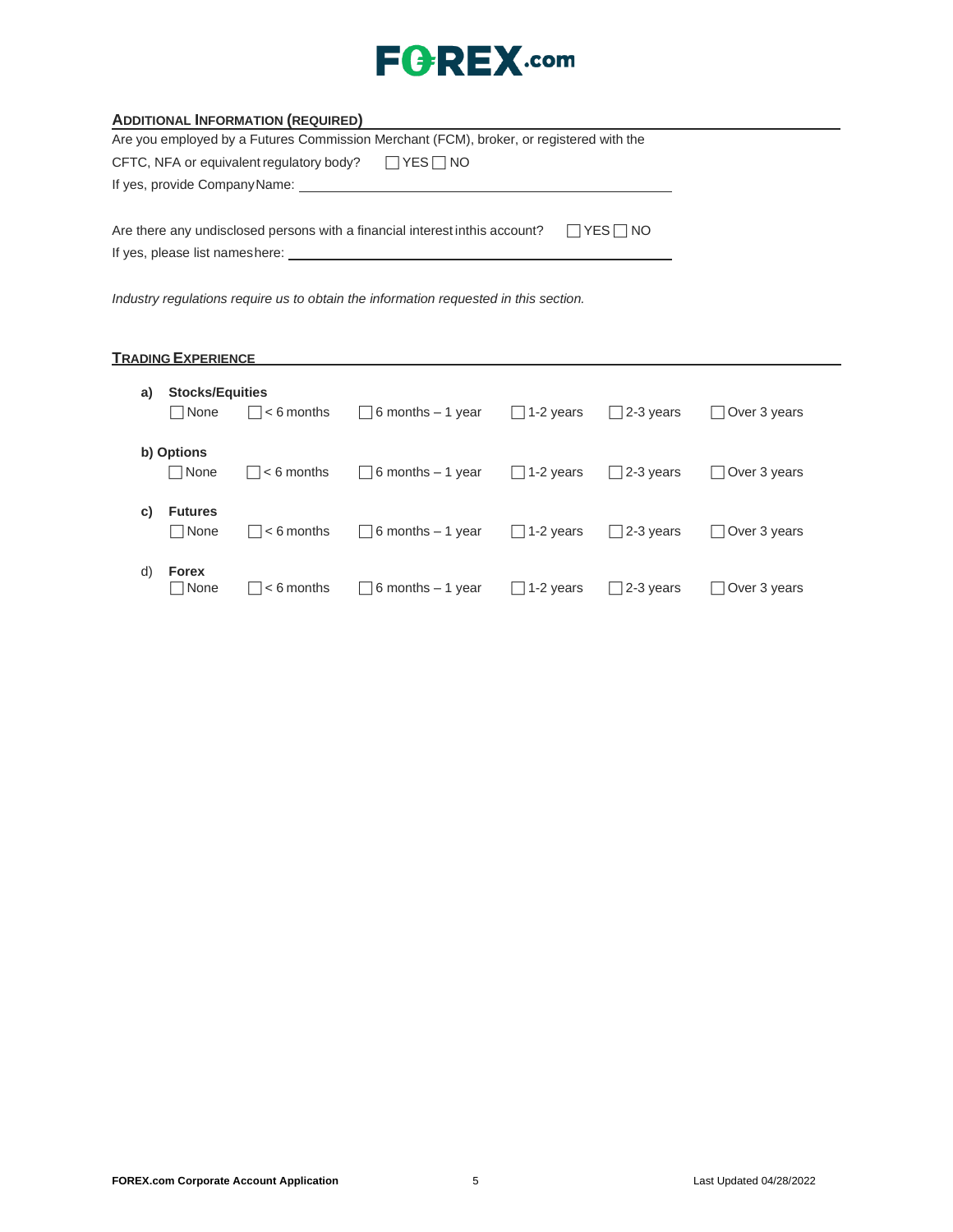

| <b>ADDITIONAL INFORMATION (REQUIRED)</b> |  |
|------------------------------------------|--|
|                                          |  |

| Are you employed by a Futures Commission Merchant (FCM), broker, or registered with the                        |                      |                      |
|----------------------------------------------------------------------------------------------------------------|----------------------|----------------------|
| CFTC, NFA or equivalent regulatory body?                                                                       | $\Box$ YES $\Box$ NO |                      |
| If yes, provide CompanyName: with the state of the state of the state of the state of the state of the state o |                      |                      |
|                                                                                                                |                      |                      |
| Are there any undisclosed persons with a financial interest inthis account?                                    |                      | $\Box$ YES $\Box$ NO |
| If yes, please list nameshere:                                                                                 |                      |                      |

*Industry regulations require us to obtain the information requested in this section.*

## **TRADING EXPERIENCE**

| a) | <b>Stocks/Equities</b><br>l None<br>$\vert \ \ \vert$ | $  \cdot  $ < 6 months     | $\Box$ 6 months – 1 year                  | $\Box$ 1-2 years | $\vert$ 2-3 years | Over 3 years        |
|----|-------------------------------------------------------|----------------------------|-------------------------------------------|------------------|-------------------|---------------------|
|    | b) Options<br>$\Box$ None                             | $\vert \vert$ $<$ 6 months | $\Box$ 6 months – 1 year                  | $\Box$ 1-2 years | $\Box$ 2-3 years  | $\Box$ Over 3 years |
| C) | <b>Futures</b><br>$\Box$ None                         | $  \cdot  $ < 6 months     | $\Box$ 6 months – 1 year $\Box$ 1-2 years |                  | $\Box$ 2-3 years  | Over 3 years        |
| d) | <b>Forex</b><br>  None                                | ∣ l < 6 months             | $\Box$ 6 months – 1 year                  | $\Box$ 1-2 years | $\Box$ 2-3 years  | $\Box$ Over 3 years |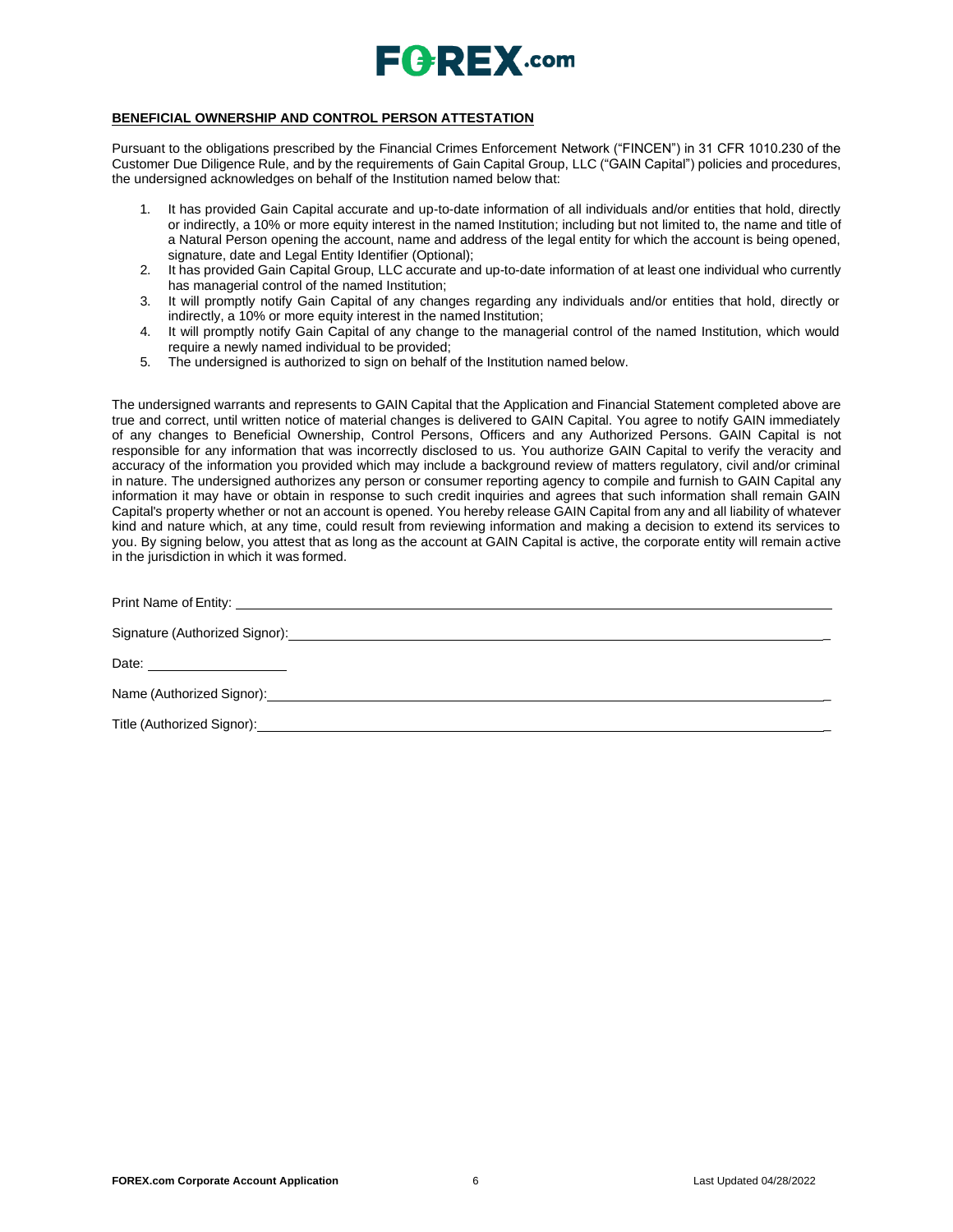

#### **BENEFICIAL OWNERSHIP AND CONTROL PERSON ATTESTATION**

Pursuant to the obligations prescribed by the Financial Crimes Enforcement Network ("FINCEN") in 31 CFR 1010.230 of the Customer Due Diligence Rule, and by the requirements of Gain Capital Group, LLC ("GAIN Capital") policies and procedures, the undersigned acknowledges on behalf of the Institution named below that:

- 1. It has provided Gain Capital accurate and up-to-date information of all individuals and/or entities that hold, directly or indirectly, a 10% or more equity interest in the named Institution; including but not limited to, the name and title of a Natural Person opening the account, name and address of the legal entity for which the account is being opened, signature, date and Legal Entity Identifier (Optional);
- 2. It has provided Gain Capital Group, LLC accurate and up-to-date information of at least one individual who currently has managerial control of the named Institution;
- 3. It will promptly notify Gain Capital of any changes regarding any individuals and/or entities that hold, directly or indirectly, a 10% or more equity interest in the named Institution;
- 4. It will promptly notify Gain Capital of any change to the managerial control of the named Institution, which would require a newly named individual to be provided;
- 5. The undersigned is authorized to sign on behalf of the Institution named below.

The undersigned warrants and represents to GAIN Capital that the Application and Financial Statement completed above are true and correct, until written notice of material changes is delivered to GAIN Capital. You agree to notify GAIN immediately of any changes to Beneficial Ownership, Control Persons, Officers and any Authorized Persons. GAIN Capital is not responsible for any information that was incorrectly disclosed to us. You authorize GAIN Capital to verify the veracity and accuracy of the information you provided which may include a background review of matters regulatory, civil and/or criminal in nature. The undersigned authorizes any person or consumer reporting agency to compile and furnish to GAIN Capital any information it may have or obtain in response to such credit inquiries and agrees that such information shall remain GAIN Capital's property whether or not an account is opened. You hereby release GAIN Capital from any and all liability of whatever kind and nature which, at any time, could result from reviewing information and making a decision to extend its services to you. By signing below, you attest that as long as the account at GAIN Capital is active, the corporate entity will remain active in the jurisdiction in which it was formed.

| Title (Authorized Signor): <u>Contract Communication</u> Contract Communication Communication Communication Communication |
|---------------------------------------------------------------------------------------------------------------------------|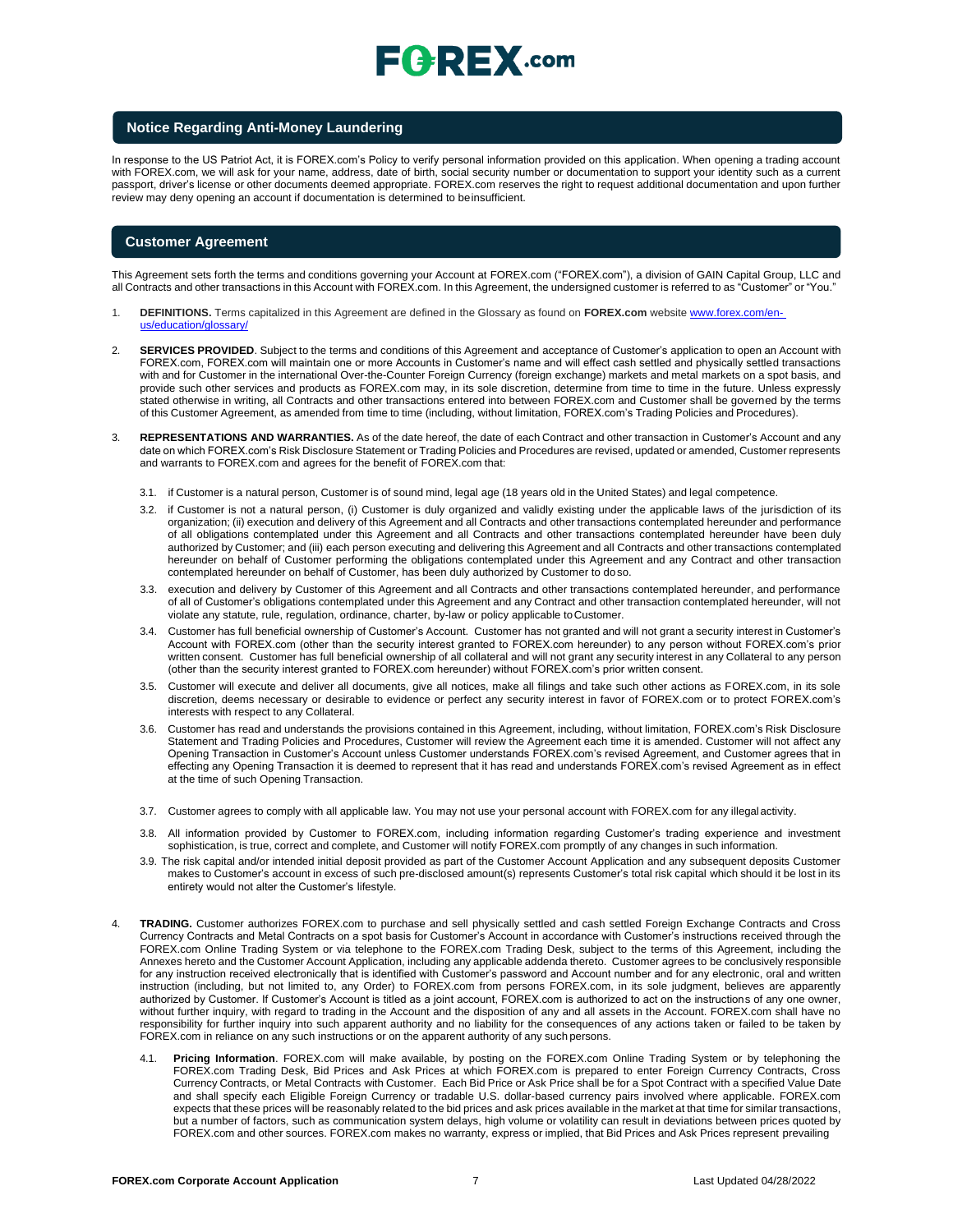#### **Notice Regarding Anti-Money Laundering**

In response to the US Patriot Act, it is FOREX.com's Policy to verify personal information provided on this application. When opening a trading account with FOREX.com, we will ask for your name, address, date of birth, social security number or documentation to support your identity such as a current passport, driver's license or other documents deemed appropriate. FOREX.com reserves the right to request additional documentation and upon further review may deny opening an account if documentation is determined to beinsufficient.

#### **Customer Agreement**

This Agreement sets forth the terms and conditions governing your Account at FOREX.com ("FOREX.com"), a division of GAIN Capital Group, LLC and all Contracts and other transactions in this Account with FOREX.com. In this Agreement, the undersigned customer is referred to as "Customer" or "You."

- 1. **DEFINITIONS.** Terms capitalized in this Agreement are defined in the Glossary as found on **FOREX.com** website [www.forex.com/en](http://www.forex.com/en-us/education/glossary/)[us/education/glossary/](http://www.forex.com/en-us/education/glossary/)
- 2. **SERVICES PROVIDED**. Subject to the terms and conditions of this Agreement and acceptance of Customer's application to open an Account with FOREX.com, FOREX.com will maintain one or more Accounts in Customer's name and will effect cash settled and physically settled transactions with and for Customer in the international Over-the-Counter Foreign Currency (foreign exchange) markets and metal markets on a spot basis, and provide such other services and products as FOREX.com may, in its sole discretion, determine from time to time in the future. Unless expressly stated otherwise in writing, all Contracts and other transactions entered into between FOREX.com and Customer shall be governed by the terms of this Customer Agreement, as amended from time to time (including, without limitation, FOREX.com's Trading Policies and Procedures).
- 3. **REPRESENTATIONS AND WARRANTIES.** As of the date hereof, the date of each Contract and other transaction in Customer's Account and any date on which FOREX.com's Risk Disclosure Statement or Trading Policies and Procedures are revised, updated or amended, Customer represents and warrants to FOREX.com and agrees for the benefit of FOREX.com that:
	- 3.1. if Customer is a natural person, Customer is of sound mind, legal age (18 years old in the United States) and legal competence.
	- 3.2. if Customer is not a natural person, (i) Customer is duly organized and validly existing under the applicable laws of the jurisdiction of its organization; (ii) execution and delivery of this Agreement and all Contracts and other transactions contemplated hereunder and performance of all obligations contemplated under this Agreement and all Contracts and other transactions contemplated hereunder have been duly authorized by Customer; and (iii) each person executing and delivering this Agreement and all Contracts and other transactions contemplated hereunder on behalf of Customer performing the obligations contemplated under this Agreement and any Contract and other transaction contemplated hereunder on behalf of Customer, has been duly authorized by Customer to doso.
	- 3.3. execution and delivery by Customer of this Agreement and all Contracts and other transactions contemplated hereunder, and performance of all of Customer's obligations contemplated under this Agreement and any Contract and other transaction contemplated hereunder, will not violate any statute, rule, regulation, ordinance, charter, by-law or policy applicable toCustomer.
	- 3.4. Customer has full beneficial ownership of Customer's Account. Customer has not granted and will not grant a security interest in Customer's Account with FOREX.com (other than the security interest granted to FOREX.com hereunder) to any person without FOREX.com's prior written consent. Customer has full beneficial ownership of all collateral and will not grant any security interest in any Collateral to any person (other than the security interest granted to FOREX.com hereunder) without FOREX.com's prior written consent.
	- 3.5. Customer will execute and deliver all documents, give all notices, make all filings and take such other actions as FOREX.com, in its sole discretion, deems necessary or desirable to evidence or perfect any security interest in favor of FOREX.com or to protect FOREX.com's interests with respect to any Collateral.
	- 3.6. Customer has read and understands the provisions contained in this Agreement, including, without limitation, FOREX.com's Risk Disclosure Statement and Trading Policies and Procedures, Customer will review the Agreement each time it is amended. Customer will not affect any Opening Transaction in Customer's Account unless Customer understands FOREX.com's revised Agreement, and Customer agrees that in effecting any Opening Transaction it is deemed to represent that it has read and understands FOREX.com's revised Agreement as in effect at the time of such Opening Transaction.
	- 3.7. Customer agrees to comply with all applicable law. You may not use your personal account with FOREX.com for any illegal activity.
	- 3.8. All information provided by Customer to FOREX.com, including information regarding Customer's trading experience and investment sophistication, is true, correct and complete, and Customer will notify FOREX.com promptly of any changes in such information.
	- 3.9. The risk capital and/or intended initial deposit provided as part of the Customer Account Application and any subsequent deposits Customer makes to Customer's account in excess of such pre-disclosed amount(s) represents Customer's total risk capital which should it be lost in its entirety would not alter the Customer's lifestyle.
- TRADING. Customer authorizes FOREX.com to purchase and sell physically settled and cash settled Foreign Exchange Contracts and Cross Currency Contracts and Metal Contracts on a spot basis for Customer's Account in accordance with Customer's instructions received through the FOREX.com Online Trading System or via telephone to the FOREX.com Trading Desk, subject to the terms of this Agreement, including the Annexes hereto and the Customer Account Application, including any applicable addenda thereto. Customer agrees to be conclusively responsible for any instruction received electronically that is identified with Customer's password and Account number and for any electronic, oral and written instruction (including, but not limited to, any Order) to FOREX.com from persons FOREX.com, in its sole judgment, believes are apparently authorized by Customer. If Customer's Account is titled as a joint account, FOREX.com is authorized to act on the instructions of any one owner, without further inquiry, with regard to trading in the Account and the disposition of any and all assets in the Account. FOREX.com shall have no responsibility for further inquiry into such apparent authority and no liability for the consequences of any actions taken or failed to be taken by FOREX.com in reliance on any such instructions or on the apparent authority of any such persons.
	- 4.1. **Pricing Information**. FOREX.com will make available, by posting on the FOREX.com Online Trading System or by telephoning the FOREX.com Trading Desk, Bid Prices and Ask Prices at which FOREX.com is prepared to enter Foreign Currency Contracts, Cross Currency Contracts, or Metal Contracts with Customer. Each Bid Price or Ask Price shall be for a Spot Contract with a specified Value Date and shall specify each Eligible Foreign Currency or tradable U.S. dollar-based currency pairs involved where applicable. FOREX.com expects that these prices will be reasonably related to the bid prices and ask prices available in the market at that time for similar transactions, but a number of factors, such as communication system delays, high volume or volatility can result in deviations between prices quoted by FOREX.com and other sources. FOREX.com makes no warranty, express or implied, that Bid Prices and Ask Prices represent prevailing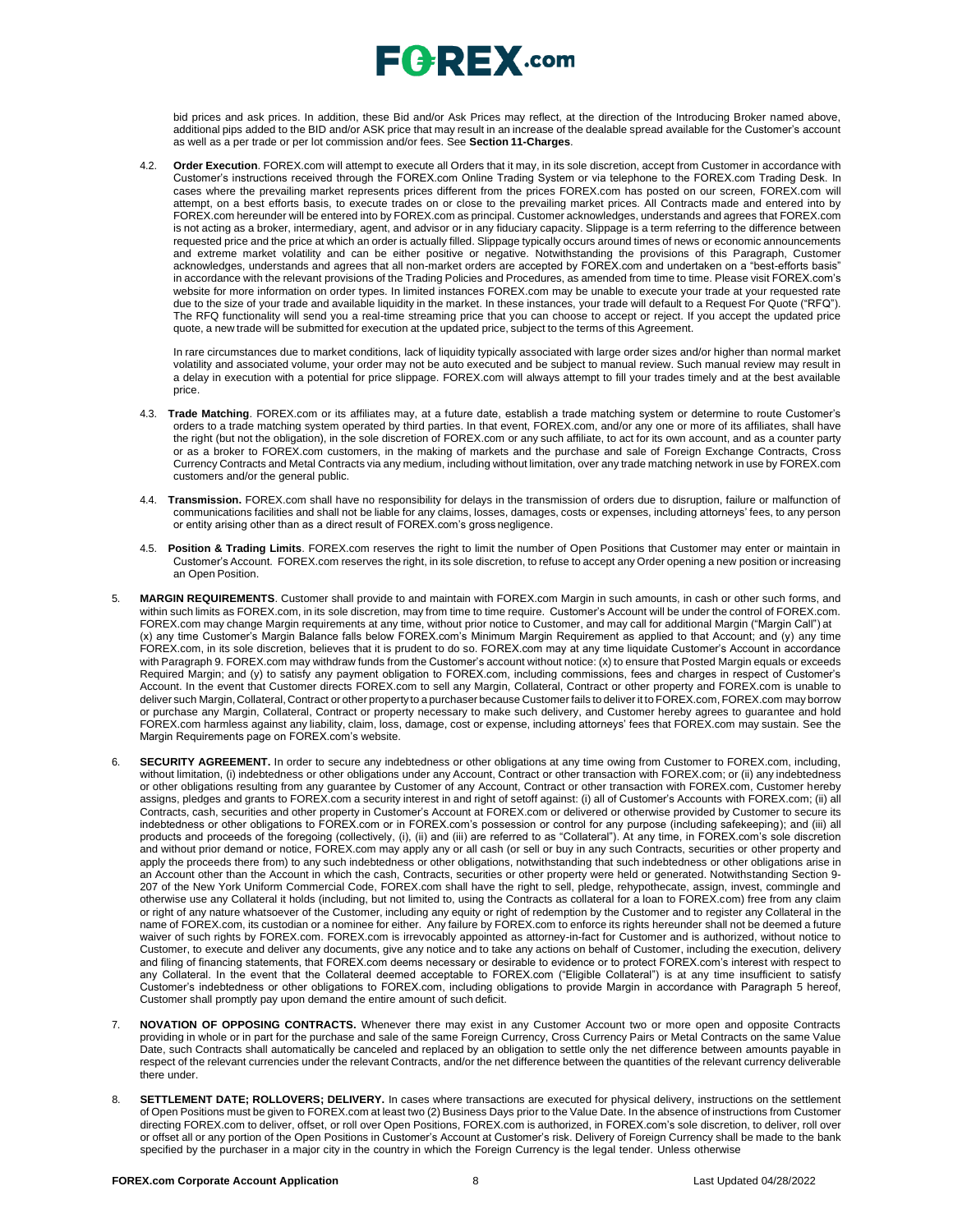

bid prices and ask prices. In addition, these Bid and/or Ask Prices may reflect, at the direction of the Introducing Broker named above, additional pips added to the BID and/or ASK price that may result in an increase of the dealable spread available for the Customer's account as well as a per trade or per lot commission and/or fees. See **Section 11-Charges**.

4.2. **Order Execution**. FOREX.com will attempt to execute all Orders that it may, in its sole discretion, accept from Customer in accordance with Customer's instructions received through the FOREX.com Online Trading System or via telephone to the FOREX.com Trading Desk. In cases where the prevailing market represents prices different from the prices FOREX.com has posted on our screen, FOREX.com will attempt, on a best efforts basis, to execute trades on or close to the prevailing market prices. All Contracts made and entered into by FOREX.com hereunder will be entered into by FOREX.com as principal. Customer acknowledges, understands and agrees that FOREX.com is not acting as a broker, intermediary, agent, and advisor or in any fiduciary capacity. Slippage is a term referring to the difference between requested price and the price at which an order is actually filled. Slippage typically occurs around times of news or economic announcements and extreme market volatility and can be either positive or negative. Notwithstanding the provisions of this Paragraph, Customer acknowledges, understands and agrees that all non-market orders are accepted by FOREX.com and undertaken on a "best-efforts basis" in accordance with the relevant provisions of the Trading Policies and Procedures, as amended from time to time. Please visit FOREX.com's website for more information on order types. In limited instances FOREX.com may be unable to execute your trade at your requested rate due to the size of your trade and available liquidity in the market. In these instances, your trade will default to a Request For Quote ("RFQ"). The RFQ functionality will send you a real-time streaming price that you can choose to accept or reject. If you accept the updated price quote, a new trade will be submitted for execution at the updated price, subject to the terms of this Agreement.

In rare circumstances due to market conditions, lack of liquidity typically associated with large order sizes and/or higher than normal market volatility and associated volume, your order may not be auto executed and be subject to manual review. Such manual review may result in a delay in execution with a potential for price slippage[. FOREX.com w](http://forex.com/)ill always attempt to fill your trades timely and at the best available price.

- 4.3. **Trade Matching**. FOREX.com or its affiliates may, at a future date, establish a trade matching system or determine to route Customer's orders to a trade matching system operated by third parties. In that event, FOREX.com, and/or any one or more of its affiliates, shall have the right (but not the obligation), in the sole discretion of FOREX.com or any such affiliate, to act for its own account, and as a counter party or as a broker to FOREX.com customers, in the making of markets and the purchase and sale of Foreign Exchange Contracts, Cross Currency Contracts and Metal Contracts via any medium, including without limitation, over any trade matching network in use by FOREX.com customers and/or the general public.
- 4.4. **Transmission.** FOREX.com shall have no responsibility for delays in the transmission of orders due to disruption, failure or malfunction of communications facilities and shall not be liable for any claims, losses, damages, costs or expenses, including attorneys' fees, to any person or entity arising other than as a direct result of FOREX.com's gross negligence.
- 4.5. **Position & Trading Limits**. FOREX.com reserves the right to limit the number of Open Positions that Customer may enter or maintain in Customer's Account. FOREX.com reserves the right, in its sole discretion, to refuse to accept any Order opening a new position or increasing an Open Position.
- 5. **MARGIN REQUIREMENTS**. Customer shall provide to and maintain with FOREX.com Margin in such amounts, in cash or other such forms, and within such limits as FOREX.com, in its sole discretion, may from time to time require. Customer's Account will be under the control of FOREX.com. FOREX.com may change Margin requirements at any time, without prior notice to Customer, and may call for additional Margin ("Margin Call") at (x) any time Customer's Margin Balance falls below FOREX.com's Minimum Margin Requirement as applied to that Account; and (y) any time FOREX.com, in its sole discretion, believes that it is prudent to do so. FOREX.com may at any time liquidate Customer's Account in accordance with Paragraph 9. FOREX.com may withdraw funds from the Customer's account without notice: (x) to ensure that Posted Margin equals or exceeds Required Margin; and (y) to satisfy any payment obligation to FOREX.com, including commissions, fees and charges in respect of Customer's Account. In the event that Customer directs FOREX.com to sell any Margin, Collateral, Contract or other property and FOREX.com is unable to deliver such Margin, Collateral, Contract or other propertyto a purchaser because Customer fails to deliver it to FOREX.com, FOREX.com may borrow or purchase any Margin, Collateral, Contract or property necessary to make such delivery, and Customer hereby agrees to guarantee and hold FOREX.com harmless against any liability, claim, loss, damage, cost or expense, including attorneys' fees that FOREX.com may sustain. See the Margin Requirements page on FOREX.com's website.
- 6. **SECURITY AGREEMENT.** In order to secure any indebtedness or other obligations at any time owing from Customer to FOREX.com, including, without limitation, (i) indebtedness or other obligations under any Account, Contract or other transaction with FOREX.com; or (ii) any indebtedness or other obligations resulting from any guarantee by Customer of any Account, Contract or other transaction with FOREX.com, Customer hereby assigns, pledges and grants to FOREX.com a security interest in and right of setoff against: (i) all of Customer's Accounts with FOREX.com; (ii) all Contracts, cash, securities and other property in Customer's Account at FOREX.com or delivered or otherwise provided by Customer to secure its indebtedness or other obligations to FOREX.com or in FOREX.com's possession or control for any purpose (including safekeeping); and (iii) all products and proceeds of the foregoing (collectively, (i), (ii) and (iii) are referred to as "Collateral"). At any time, in FOREX.com's sole discretion and without prior demand or notice, FOREX.com may apply any or all cash (or sell or buy in any such Contracts, securities or other property and apply the proceeds there from) to any such indebtedness or other obligations, notwithstanding that such indebtedness or other obligations arise in an Account other than the Account in which the cash, Contracts, securities or other property were held or generated. Notwithstanding Section 9- 207 of the New York Uniform Commercial Code, FOREX.com shall have the right to sell, pledge, rehypothecate, assign, invest, commingle and otherwise use any Collateral it holds (including, but not limited to, using the Contracts as collateral for a loan to FOREX.com) free from any claim or right of any nature whatsoever of the Customer, including any equity or right of redemption by the Customer and to register any Collateral in the name of FOREX.com, its custodian or a nominee for either. Any failure by FOREX.com to enforce its rights hereunder shall not be deemed a future waiver of such rights by FOREX.com. FOREX.com is irrevocably appointed as attorney-in-fact for Customer and is authorized, without notice to Customer, to execute and deliver any documents, give any notice and to take any actions on behalf of Customer, including the execution, delivery and filing of financing statements, that FOREX.com deems necessary or desirable to evidence or to protect FOREX.com's interest with respect to any Collateral. In the event that the Collateral deemed acceptable to FOREX.com ("Eligible Collateral") is at any time insufficient to satisfy Customer's indebtedness or other obligations to FOREX.com, including obligations to provide Margin in accordance with Paragraph 5 hereof, Customer shall promptly pay upon demand the entire amount of such deficit.
- 7. **NOVATION OF OPPOSING CONTRACTS.** Whenever there may exist in any Customer Account two or more open and opposite Contracts providing in whole or in part for the purchase and sale of the same Foreign Currency, Cross Currency Pairs or Metal Contracts on the same Value Date, such Contracts shall automatically be canceled and replaced by an obligation to settle only the net difference between amounts payable in respect of the relevant currencies under the relevant Contracts, and/or the net difference between the quantities of the relevant currency deliverable there under.
- 8. **SETTLEMENT DATE; ROLLOVERS; DELIVERY.** In cases where transactions are executed for physical delivery, instructions on the settlement of Open Positions must be given to FOREX.com at least two (2) Business Days prior to the Value Date. In the absence of instructions from Customer directing FOREX.com to deliver, offset, or roll over Open Positions, FOREX.com is authorized, in FOREX.com's sole discretion, to deliver, roll over or offset all or any portion of the Open Positions in Customer's Account at Customer's risk. Delivery of Foreign Currency shall be made to the bank specified by the purchaser in a major city in the country in which the Foreign Currency is the legal tender. Unless otherwise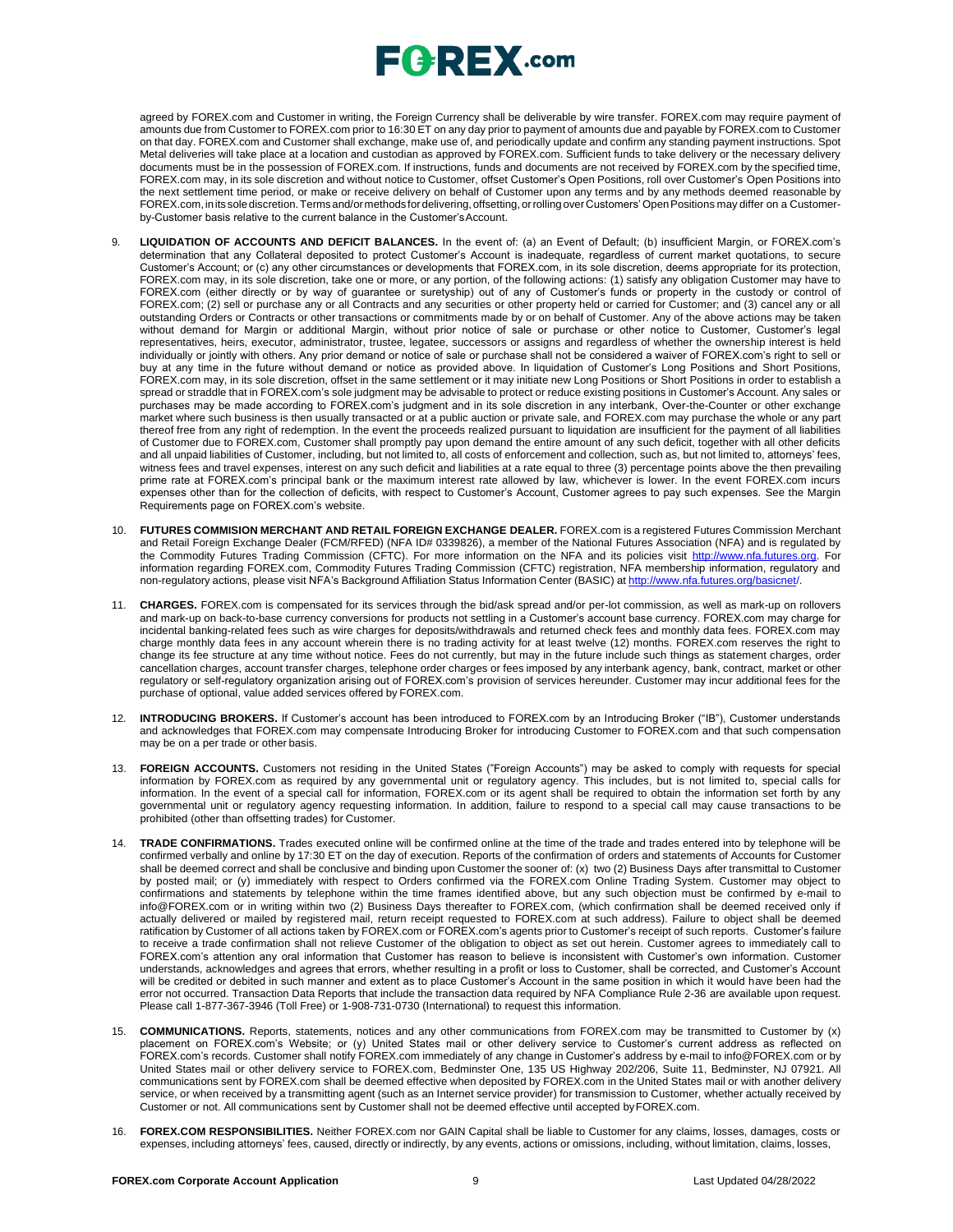agreed by FOREX.com and Customer in writing, the Foreign Currency shall be deliverable by wire transfer. FOREX.com may require payment of amounts due from Customer to FOREX.com prior to 16:30 ET on any day prior to payment of amounts due and payable by FOREX.com to Customer on that day. FOREX.com and Customer shall exchange, make use of, and periodically update and confirm any standing payment instructions. Spot Metal deliveries will take place at a location and custodian as approved by FOREX.com. Sufficient funds to take delivery or the necessary delivery documents must be in the possession of FOREX.com. If instructions, funds and documents are not received by FOREX.com by the specified time, FOREX.com may, in its sole discretion and without notice to Customer, offset Customer's Open Positions, roll over Customer's Open Positions into the next settlement time period, or make or receive delivery on behalf of Customer upon any terms and by any methods deemed reasonable by FOREX.com,inits solediscretion.Termsand/ormethods for delivering,offsetting, orrollingoverCustomers' OpenPositions may differ on a Customerby-Customer basis relative to the current balance in the Customer'sAccount.

- LIQUIDATION OF ACCOUNTS AND DEFICIT BALANCES. In the event of: (a) an Event of Default; (b) insufficient Margin, or FOREX.com's determination that any Collateral deposited to protect Customer's Account is inadequate, regardless of current market quotations, to secure Customer's Account; or (c) any other circumstances or developments that FOREX.com, in its sole discretion, deems appropriate for its protection, FOREX.com may, in its sole discretion, take one or more, or any portion, of the following actions: (1) satisfy any obligation Customer may have to FOREX.com (either directly or by way of guarantee or suretyship) out of any of Customer's funds or property in the custody or control of FOREX.com; (2) sell or purchase any or all Contracts and any securities or other property held or carried for Customer; and (3) cancel any or all outstanding Orders or Contracts or other transactions or commitments made by or on behalf of Customer. Any of the above actions may be taken without demand for Margin or additional Margin, without prior notice of sale or purchase or other notice to Customer, Customer's legal representatives, heirs, executor, administrator, trustee, legatee, successors or assigns and regardless of whether the ownership interest is held individually or jointly with others. Any prior demand or notice of sale or purchase shall not be considered a waiver of FOREX.com's right to sell or buy at any time in the future without demand or notice as provided above. In liquidation of Customer's Long Positions and Short Positions, FOREX.com may, in its sole discretion, offset in the same settlement or it may initiate new Long Positions or Short Positions in order to establish a spread or straddle that in FOREX.com's sole judgment may be advisable to protect or reduce existing positions in Customer's Account. Any sales or purchases may be made according to FOREX.com's judgment and in its sole discretion in any interbank, Over-the-Counter or other exchange market where such business is then usually transacted or at a public auction or private sale, and FOREX.com may purchase the whole or any part thereof free from any right of redemption. In the event the proceeds realized pursuant to liquidation are insufficient for the payment of all liabilities of Customer due to FOREX.com, Customer shall promptly pay upon demand the entire amount of any such deficit, together with all other deficits and all unpaid liabilities of Customer, including, but not limited to, all costs of enforcement and collection, such as, but not limited to, attorneys' fees, witness fees and travel expenses, interest on any such deficit and liabilities at a rate equal to three (3) percentage points above the then prevailing prime rate at FOREX.com's principal bank or the maximum interest rate allowed by law, whichever is lower. In the event FOREX.com incurs expenses other than for the collection of deficits, with respect to Customer's Account, Customer agrees to pay such expenses. See the Margin Requirements page on FOREX.com's website.
- 10. **FUTURES COMMISION MERCHANT AND RETAIL FOREIGN EXCHANGE DEALER.** FOREX.com is a registered Futures Commission Merchant and Retail Foreign Exchange Dealer (FCM/RFED) (NFA ID# 0339826), a member of the National Futures Association (NFA) and is regulated by the Commodity Futures Trading Commission (CFTC). For more information on the NFA and its policies visit [http://www.nfa.futures.org.](http://www.nfa.futures.org/) For information regarding FOREX.com, Commodity Futures Trading Commission (CFTC) registration, NFA membership information, regulatory and non-regulatory actions, please visit NFA's Background Affiliation Status Information Center (BASIC) at [http://www.nfa.futures.org/basicnet/.](http://www.nfa.futures.org/basicnet/)
- 11. **CHARGES.** FOREX.com is compensated for its services through the bid/ask spread and/or per-lot commission, as well as mark-up on rollovers and mark-up on back-to-base currency conversions for products not settling in a Customer's account base currency. FOREX.com may charge for incidental banking-related fees such as wire charges for deposits/withdrawals and returned check fees and monthly data fees. FOREX.com may charge monthly data fees in any account wherein there is no trading activity for at least twelve (12) months. FOREX.com reserves the right to change its fee structure at any time without notice. Fees do not currently, but may in the future include such things as statement charges, order cancellation charges, account transfer charges, telephone order charges or fees imposed by any interbank agency, bank, contract, market or other regulatory or self-regulatory organization arising out of FOREX.com's provision of services hereunder. Customer may incur additional fees for the purchase of optional, value added services offered by FOREX.com.
- 12. **INTRODUCING BROKERS.** If Customer's account has been introduced to FOREX.com by an Introducing Broker ("IB"), Customer understands and acknowledges that FOREX.com may compensate Introducing Broker for introducing Customer to FOREX.com and that such compensation may be on a per trade or other basis.
- 13. **FOREIGN ACCOUNTS.** Customers not residing in the United States ("Foreign Accounts") may be asked to comply with requests for special information by FOREX.com as required by any governmental unit or regulatory agency. This includes, but is not limited to, special calls for information. In the event of a special call for information, FOREX.com or its agent shall be required to obtain the information set forth by any governmental unit or regulatory agency requesting information. In addition, failure to respond to a special call may cause transactions to be prohibited (other than offsetting trades) for Customer.
- 14. **TRADE CONFIRMATIONS.** Trades executed online will be confirmed online at the time of the trade and trades entered into by telephone will be confirmed verbally and online by 17:30 ET on the day of execution. Reports of the confirmation of orders and statements of Accounts for Customer shall be deemed correct and shall be conclusive and binding upon Customer the sooner of: (x) two (2) Business Days after transmittal to Customer by posted mail; or (y) immediately with respect to Orders confirmed via the FOREX.com Online Trading System. Customer may object to confirmations and statements by telephone within the time frames identified above, but any such objection must be confirmed by e-mail t[o](mailto:info@FOREX.com) [info@FOREX.com](mailto:info@FOREX.com) or in writing within two (2) Business Days thereafter to FOREX.com, (which confirmation shall be deemed received only if actually delivered or mailed by registered mail, return receipt requested to FOREX.com at such address). Failure to object shall be deemed ratification by Customer of all actions taken by FOREX.com or FOREX.com's agents prior to Customer's receipt of such reports. Customer's failure to receive a trade confirmation shall not relieve Customer of the obligation to object as set out herein. Customer agrees to immediately call to FOREX.com's attention any oral information that Customer has reason to believe is inconsistent with Customer's own information. Customer understands, acknowledges and agrees that errors, whether resulting in a profit or loss to Customer, shall be corrected, and Customer's Account will be credited or debited in such manner and extent as to place Customer's Account in the same position in which it would have been had the error not occurred. Transaction Data Reports that include the transaction data required by NFA Compliance Rule 2-36 are available upon request. Please call 1-877-367-3946 (Toll Free) or 1-908-731-0730 (International) to request this information.
- 15. **COMMUNICATIONS.** Reports, statements, notices and any other communications from FOREX.com may be transmitted to Customer by (x) placement on FOREX.com's Website; or (y) United States mail or other delivery service to Customer's current address as reflected on FOREX.com's records. Customer shall notify FOREX.com immediately of any change in Customer's address by e-mail to [info@FOREX.com](mailto:info@FOREX.com) or by United States mail or other delivery service to FOREX.com, Bedminster One, 135 US Highway 202/206, Suite 11, Bedminster, NJ 07921. All communications sent by FOREX.com shall be deemed effective when deposited by FOREX.com in the United States mail or with another delivery service, or when received by a transmitting agent (such as an Internet service provider) for transmission to Customer, whether actually received by Customer or not. All communications sent by Customer shall not be deemed effective until accepted byFOREX.com.
- 16. **FOREX.COM RESPONSIBILITIES.** Neither FOREX.com nor GAIN Capital shall be liable to Customer for any claims, losses, damages, costs or expenses, including attorneys' fees, caused, directly or indirectly, by any events, actions or omissions, including, without limitation, claims, losses,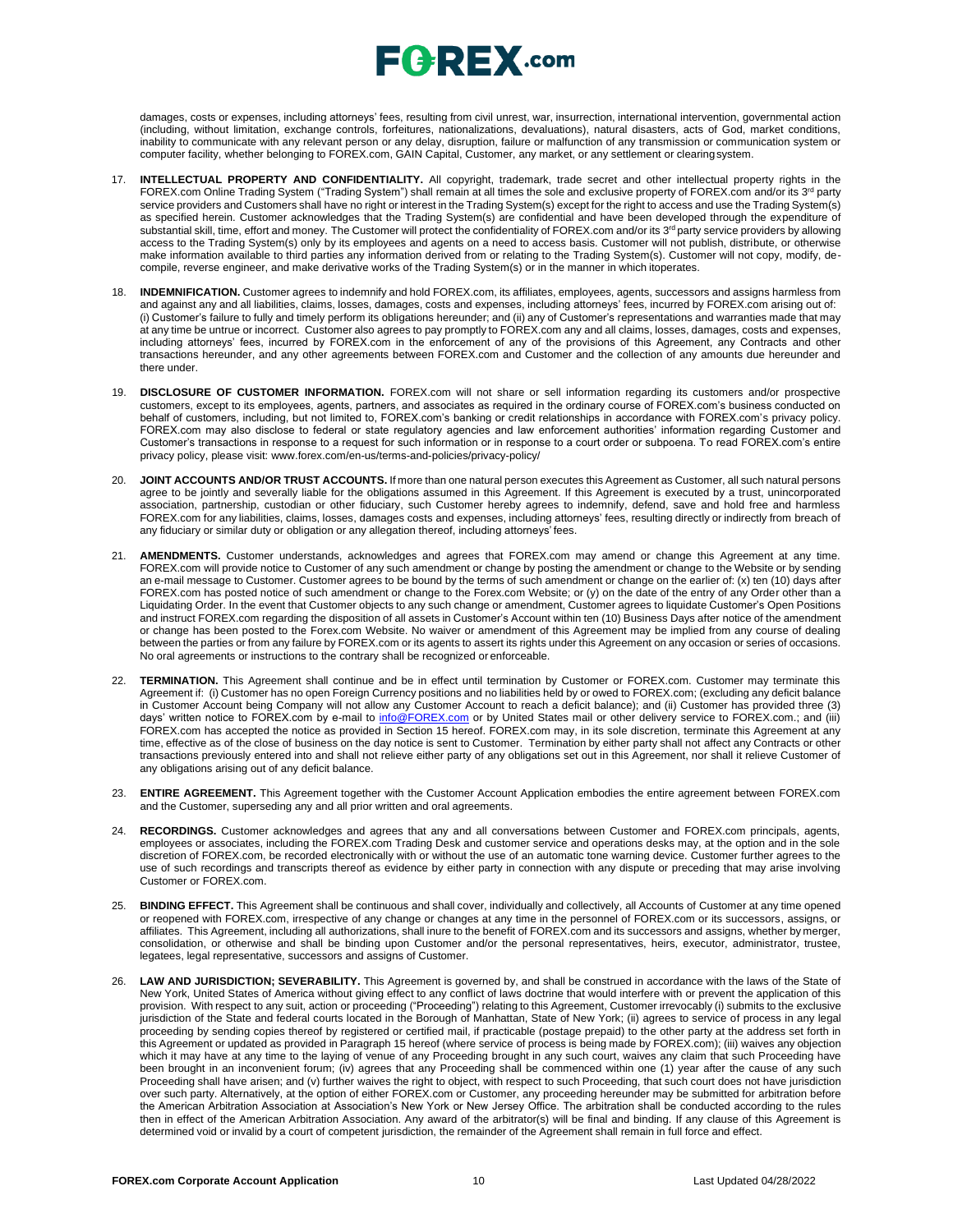damages, costs or expenses, including attorneys' fees, resulting from civil unrest, war, insurrection, international intervention, governmental action (including, without limitation, exchange controls, forfeitures, nationalizations, devaluations), natural disasters, acts of God, market conditions, inability to communicate with any relevant person or any delay, disruption, failure or malfunction of any transmission or communication system or computer facility, whether belonging to FOREX.com, GAIN Capital, Customer, any market, or any settlement or clearingsystem.

- 17. **INTELLECTUAL PROPERTY AND CONFIDENTIALITY.** All copyright, trademark, trade secret and other intellectual property rights in the FOREX.com Online Trading System ("Trading System") shall remain at all times the sole and exclusive property of FOREX.com and/or its 3<sup>rd</sup> party service providers and Customers shall have no right or interest in the Trading System(s) except for the right to access and use the Trading System(s) as specified herein. Customer acknowledges that the Trading System(s) are confidential and have been developed through the expenditure of substantial skill, time, effort and money. The Customer will protect the confidentiality of FOREX.com and/or its 3<sup>rd</sup> party service providers by allowing access to the Trading System(s) only by its employees and agents on a need to access basis. Customer will not publish, distribute, or otherwise make information available to third parties any information derived from or relating to the Trading System(s). Customer will not copy, modify, decompile, reverse engineer, and make derivative works of the Trading System(s) or in the manner in which itoperates.
- 18. **INDEMNIFICATION.** Customer agrees to indemnify and hold FOREX.com, its affiliates, employees, agents, successors and assigns harmless from and against any and all liabilities, claims, losses, damages, costs and expenses, including attorneys' fees, incurred by FOREX.com arising out of: (i) Customer's failure to fully and timely perform its obligations hereunder; and (ii) any of Customer's representations and warranties made that may at any time be untrue or incorrect. Customer also agrees to pay promptly to FOREX.com any and all claims, losses, damages, costs and expenses, including attorneys' fees, incurred by FOREX.com in the enforcement of any of the provisions of this Agreement, any Contracts and other transactions hereunder, and any other agreements between FOREX.com and Customer and the collection of any amounts due hereunder and there under.
- 19. **DISCLOSURE OF CUSTOMER INFORMATION.** FOREX.com will not share or sell information regarding its customers and/or prospective customers, except to its employees, agents, partners, and associates as required in the ordinary course of FOREX.com's business conducted on behalf of customers, including, but not limited to, FOREX.com's banking or credit relationships in accordance with FOREX.com's privacy policy. FOREX.com may also disclose to federal or state regulatory agencies and law enforcement authorities' information regarding Customer and Customer's transactions in response to a request for such information or in response to a court order or subpoena. To read FOREX.com's entire privacy policy, please visit: [www.forex.com/en-us/terms-and-policies/privacy-policy/](http://www.forex.com/en-us/terms-and-policies/privacy-policy/)
- 20. **JOINT ACCOUNTS AND/OR TRUST ACCOUNTS.** If more than one natural person executes this Agreement as Customer, all such natural persons agree to be jointly and severally liable for the obligations assumed in this Agreement. If this Agreement is executed by a trust, unincorporated association, partnership, custodian or other fiduciary, such Customer hereby agrees to indemnify, defend, save and hold free and harmless FOREX.com for any liabilities, claims, losses, damages costs and expenses, including attorneys' fees, resulting directly or indirectly from breach of any fiduciary or similar duty or obligation or any allegation thereof, including attorneys' fees.
- 21. **AMENDMENTS.** Customer understands, acknowledges and agrees that FOREX.com may amend or change this Agreement at any time. FOREX.com will provide notice to Customer of any such amendment or change by posting the amendment or change to the Website or by sending an e-mail message to Customer. Customer agrees to be bound by the terms of such amendment or change on the earlier of: (x) ten (10) days after FOREX.com has posted notice of such amendment or change to the Forex.com Website; or (y) on the date of the entry of any Order other than a Liquidating Order. In the event that Customer objects to any such change or amendment, Customer agrees to liquidate Customer's Open Positions and instruct FOREX.com regarding the disposition of all assets in Customer's Account within ten (10) Business Days after notice of the amendment or change has been posted to the Forex.com Website. No waiver or amendment of this Agreement may be implied from any course of dealing between the parties or from any failure by FOREX.com or its agents to assert its rights under this Agreement on any occasion or series of occasions. No oral agreements or instructions to the contrary shall be recognized or enforceable.
- 22. **TERMINATION.** This Agreement shall continue and be in effect until termination by Customer or FOREX.com. Customer may terminate this Agreement if: (i) Customer has no open Foreign Currency positions and no liabilities held by or owed to FOREX.com; (excluding any deficit balance in Customer Account being Company will not allow any Customer Account to reach a deficit balance); and (ii) Customer has provided three (3) days' written notice to FOREX.com by e-mail to [info@FOREX.com](mailto:info@fxadvantage.com) or by United States mail or other delivery service to FOREX.com.; and (iii) FOREX.com has accepted the notice as provided in Section 15 hereof. FOREX.com may, in its sole discretion, terminate this Agreement at any time, effective as of the close of business on the day notice is sent to Customer. Termination by either party shall not affect any Contracts or other transactions previously entered into and shall not relieve either party of any obligations set out in this Agreement, nor shall it relieve Customer of any obligations arising out of any deficit balance.
- 23. **ENTIRE AGREEMENT.** This Agreement together with the Customer Account Application embodies the entire agreement between FOREX.com and the Customer, superseding any and all prior written and oral agreements.
- 24. **RECORDINGS.** Customer acknowledges and agrees that any and all conversations between Customer and FOREX.com principals, agents, employees or associates, including the FOREX.com Trading Desk and customer service and operations desks may, at the option and in the sole discretion of FOREX.com, be recorded electronically with or without the use of an automatic tone warning device. Customer further agrees to the use of such recordings and transcripts thereof as evidence by either party in connection with any dispute or preceding that may arise involving Customer or FOREX.com.
- 25. **BINDING EFFECT.** This Agreement shall be continuous and shall cover, individually and collectively, all Accounts of Customer at any time opened or reopened with FOREX.com, irrespective of any change or changes at any time in the personnel of FOREX.com or its successors, assigns, or affiliates. This Agreement, including all authorizations, shall inure to the benefit of FOREX.com and its successors and assigns, whether by merger, consolidation, or otherwise and shall be binding upon Customer and/or the personal representatives, heirs, executor, administrator, trustee, legatees, legal representative, successors and assigns of Customer.
- 26. **LAW AND JURISDICTION; SEVERABILITY.** This Agreement is governed by, and shall be construed in accordance with the laws of the State of New York, United States of America without giving effect to any conflict of laws doctrine that would interfere with or prevent the application of this provision. With respect to any suit, action or proceeding ("Proceeding") relating to this Agreement, Customer irrevocably (i) submits to the exclusive jurisdiction of the State and federal courts located in the Borough of Manhattan, State of New York; (ii) agrees to service of process in any legal proceeding by sending copies thereof by registered or certified mail, if practicable (postage prepaid) to the other party at the address set forth in this Agreement or updated as provided in Paragraph 15 hereof (where service of process is being made by FOREX.com); (iii) waives any objection which it may have at any time to the laying of venue of any Proceeding brought in any such court, waives any claim that such Proceeding have been brought in an inconvenient forum; (iv) agrees that any Proceeding shall be commenced within one (1) year after the cause of any such Proceeding shall have arisen; and (v) further waives the right to object, with respect to such Proceeding, that such court does not have jurisdiction over such party. Alternatively, at the option of either FOREX.com or Customer, any proceeding hereunder may be submitted for arbitration before the American Arbitration Association at Association's New York or New Jersey Office. The arbitration shall be conducted according to the rules then in effect of the American Arbitration Association. Any award of the arbitrator(s) will be final and binding. If any clause of this Agreement is determined void or invalid by a court of competent jurisdiction, the remainder of the Agreement shall remain in full force and effect.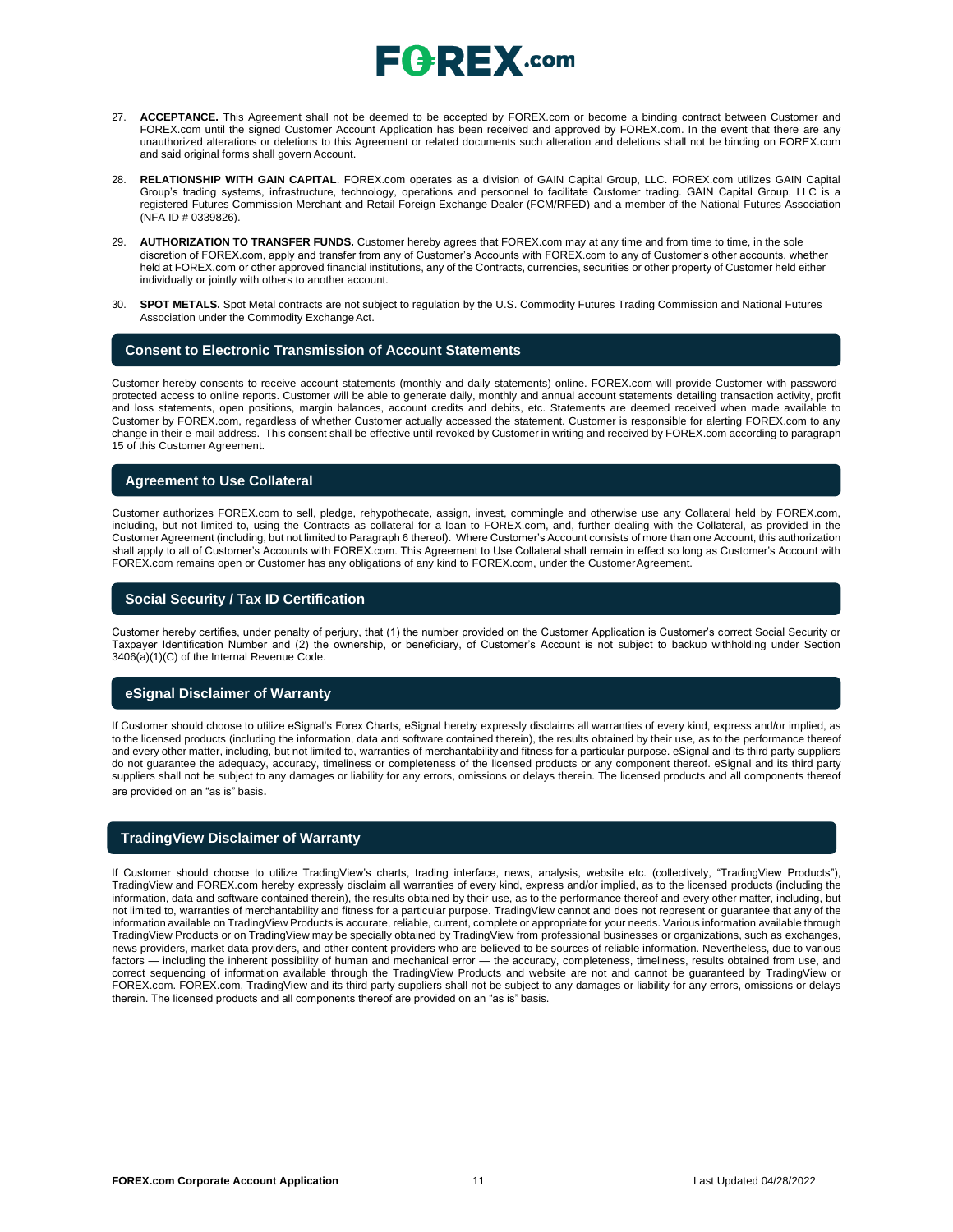- 27. **ACCEPTANCE.** This Agreement shall not be deemed to be accepted by FOREX.com or become a binding contract between Customer and FOREX.com until the signed Customer Account Application has been received and approved by FOREX.com. In the event that there are any unauthorized alterations or deletions to this Agreement or related documents such alteration and deletions shall not be binding on FOREX.com and said original forms shall govern Account.
- 28. **RELATIONSHIP WITH GAIN CAPITAL**. FOREX.com operates as a division of GAIN Capital Group, LLC. FOREX.com utilizes GAIN Capital Group's trading systems, infrastructure, technology, operations and personnel to facilitate Customer trading. GAIN Capital Group, LLC is a registered Futures Commission Merchant and Retail Foreign Exchange Dealer (FCM/RFED) and a member of the National Futures Association (NFA ID # 0339826).
- 29. **AUTHORIZATION TO TRANSFER FUNDS.** Customer hereby agrees that FOREX.com may at any time and from time to time, in the sole discretion of FOREX.com, apply and transfer from any of Customer's Accounts with FOREX.com to any of Customer's other accounts, whether held at FOREX.com or other approved financial institutions, any of the Contracts, currencies, securities or other property of Customer held either individually or jointly with others to another account.
- 30. **SPOT METALS.** Spot Metal contracts are not subject to regulation by the U.S. Commodity Futures Trading Commission and National Futures Association under the Commodity Exchange Act.

#### **Consent to Electronic Transmission of Account Statements**

Customer hereby consents to receive account statements (monthly and daily statements) online. FOREX.com will provide Customer with passwordprotected access to online reports. Customer will be able to generate daily, monthly and annual account statements detailing transaction activity, profit and loss statements, open positions, margin balances, account credits and debits, etc. Statements are deemed received when made available to Customer by FOREX.com, regardless of whether Customer actually accessed the statement. Customer is responsible for alerting FOREX.com to any change in their e-mail address. This consent shall be effective until revoked by Customer in writing and received by FOREX.com according to paragraph 15 of this Customer Agreement.

#### **Agreement to Use Collateral**

Customer authorizes FOREX.com to sell, pledge, rehypothecate, assign, invest, commingle and otherwise use any Collateral held by FOREX.com, including, but not limited to, using the Contracts as collateral for a loan to FOREX.com, and, further dealing with the Collateral, as provided in the Customer Agreement (including, but not limited to Paragraph 6 thereof). Where Customer's Account consists of more than one Account, this authorization shall apply to all of Customer's Accounts with FOREX.com. This Agreement to Use Collateral shall remain in effect so long as Customer's Account with FOREX.com remains open or Customer has any obligations of any kind to FOREX.com, under the CustomerAgreement.

#### **Social Security / Tax ID Certification**

Customer hereby certifies, under penalty of perjury, that (1) the number provided on the Customer Application is Customer's correct Social Security or Taxpayer Identification Number and (2) the ownership, or beneficiary, of Customer's Account is not subject to backup withholding under Section 3406(a)(1)(C) of the Internal Revenue Code.

#### **eSignal Disclaimer of Warranty**

If Customer should choose to utilize eSignal's Forex Charts, eSignal hereby expressly disclaims all warranties of every kind, express and/or implied, as to the licensed products (including the information, data and software contained therein), the results obtained by their use, as to the performance thereof and every other matter, including, but not limited to, warranties of merchantability and fitness for a particular purpose. eSignal and its third party suppliers do not guarantee the adequacy, accuracy, timeliness or completeness of the licensed products or any component thereof. eSignal and its third party suppliers shall not be subject to any damages or liability for any errors, omissions or delays therein. The licensed products and all components thereof are provided on an "as is" basis.

#### **TradingView Disclaimer of Warranty**

If Customer should choose to utilize TradingView's charts, trading interface, news, analysis, website etc. (collectively, "TradingView Products"), TradingView and FOREX.com hereby expressly disclaim all warranties of every kind, express and/or implied, as to the licensed products (including the information, data and software contained therein), the results obtained by their use, as to the performance thereof and every other matter, including, but not limited to, warranties of merchantability and fitness for a particular purpose. TradingView cannot and does not represent or guarantee that any of the information available on TradingView Products is accurate, reliable, current, complete or appropriate for your needs. Various information available through TradingView Products or on TradingView may be specially obtained by TradingView from professional businesses or organizations, such as exchanges, news providers, market data providers, and other content providers who are believed to be sources of reliable information. Nevertheless, due to various factors — including the inherent possibility of human and mechanical error — the accuracy, completeness, timeliness, results obtained from use, and correct sequencing of information available through the TradingView Products and website are not and cannot be guaranteed by TradingView or FOREX.com. FOREX.com, TradingView and its third party suppliers shall not be subject to any damages or liability for any errors, omissions or delays therein. The licensed products and all components thereof are provided on an "as is" basis.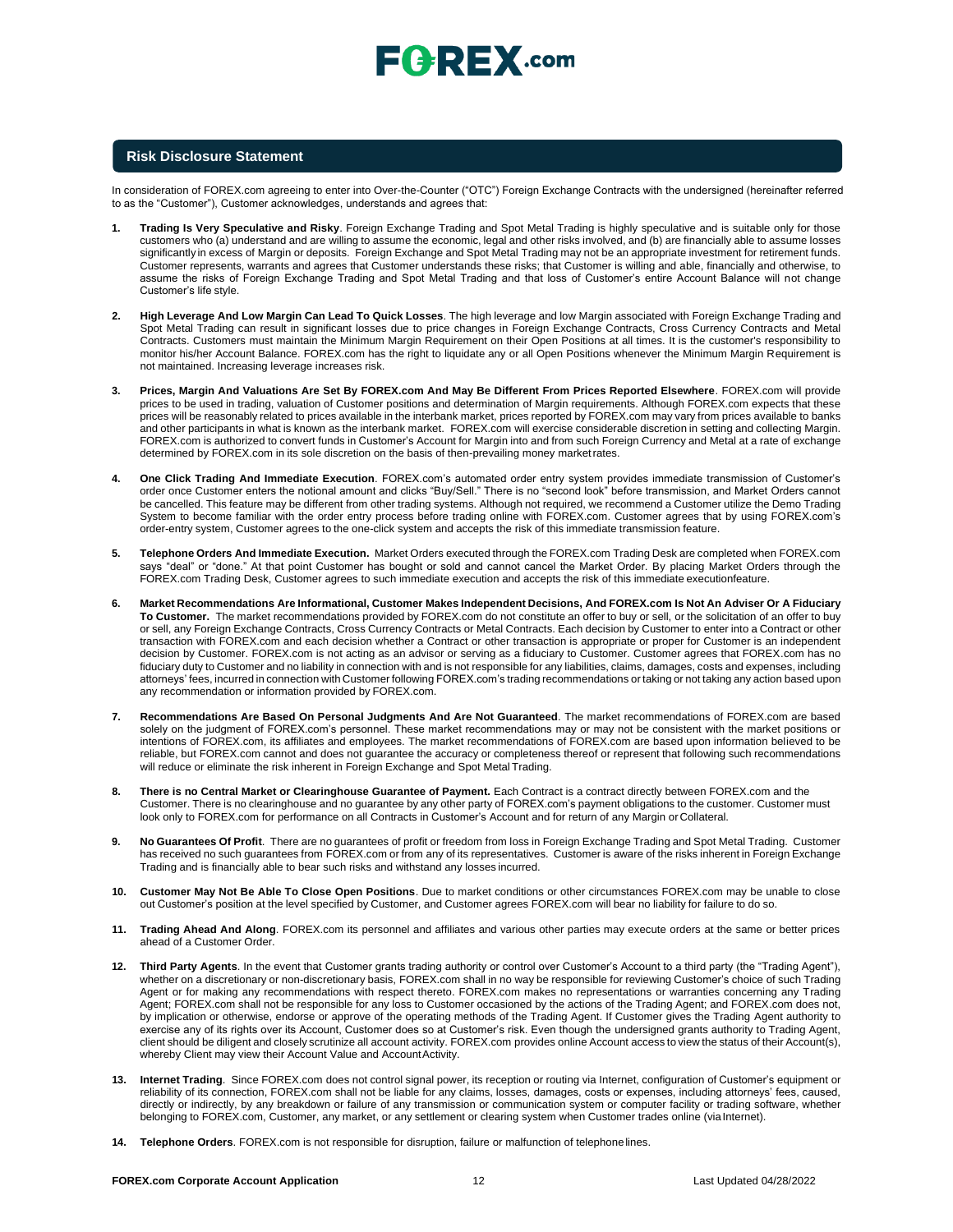# $\sqsubseteq$   $\vdash$   $\sqsubseteq$   $\mathbb{X}$  .com

#### **Risk Disclosure Statement**

In consideration of FOREX.com agreeing to enter into Over-the-Counter ("OTC") Foreign Exchange Contracts with the undersigned (hereinafter referred to as the "Customer"), Customer acknowledges, understands and agrees that:

- **1. Trading Is Very Speculative and Risky**. Foreign Exchange Trading and Spot Metal Trading is highly speculative and is suitable only for those customers who (a) understand and are willing to assume the economic, legal and other risks involved, and (b) are financially able to assume losses significantly in excess of Margin or deposits. Foreign Exchange and Spot Metal Trading may not be an appropriate investment for retirement funds. Customer represents, warrants and agrees that Customer understands these risks; that Customer is willing and able, financially and otherwise, to assume the risks of Foreign Exchange Trading and Spot Metal Trading and that loss of Customer's entire Account Balance will not change Customer's life style.
- **2. High Leverage And Low Margin Can Lead To Quick Losses**. The high leverage and low Margin associated with Foreign Exchange Trading and Spot Metal Trading can result in significant losses due to price changes in Foreign Exchange Contracts, Cross Currency Contracts and Metal Contracts. Customers must maintain the Minimum Margin Requirement on their Open Positions at all times. It is the customer's responsibility to monitor his/her Account Balance. FOREX.com has the right to liquidate any or all Open Positions whenever the Minimum Margin Requirement is not maintained. Increasing leverage increases risk.
- **3. Prices, Margin And Valuations Are Set By FOREX.com And May Be Different From Prices Reported Elsewhere**. FOREX.com will provide prices to be used in trading, valuation of Customer positions and determination of Margin requirements. Although FOREX.com expects that these prices will be reasonably related to prices available in the interbank market, prices reported by FOREX.com may vary from prices available to banks and other participants in what is known as the interbank market. FOREX.com will exercise considerable discretion in setting and collecting Margin. FOREX.com is authorized to convert funds in Customer's Account for Margin into and from such Foreign Currency and Metal at a rate of exchange determined by FOREX.com in its sole discretion on the basis of then-prevailing money marketrates.
- **4. One Click Trading And Immediate Execution**. FOREX.com's automated order entry system provides immediate transmission of Customer's order once Customer enters the notional amount and clicks "Buy/Sell." There is no "second look" before transmission, and Market Orders cannot be cancelled. This feature may be different from other trading systems. Although not required, we recommend a Customer utilize the Demo Trading System to become familiar with the order entry process before trading online with FOREX.com. Customer agrees that by using FOREX.com's order-entry system, Customer agrees to the one-click system and accepts the risk of this immediate transmission feature.
- **5. Telephone Orders And Immediate Execution.** Market Orders executed through the FOREX.com Trading Desk are completed when FOREX.com says "deal" or "done." At that point Customer has bought or sold and cannot cancel the Market Order. By placing Market Orders through the FOREX.com Trading Desk, Customer agrees to such immediate execution and accepts the risk of this immediate executionfeature.
- 6. Market Recommendations Are Informational, Customer Makes Independent Decisions, And FOREX.com Is Not An Adviser Or A Fiduciary **To Customer.** The market recommendations provided by FOREX.com do not constitute an offer to buy or sell, or the solicitation of an offer to buy or sell, any Foreign Exchange Contracts, Cross Currency Contracts or Metal Contracts. Each decision by Customer to enter into a Contract or other transaction with FOREX.com and each decision whether a Contract or other transaction is appropriate or proper for Customer is an independent decision by Customer. FOREX.com is not acting as an advisor or serving as a fiduciary to Customer. Customer agrees that FOREX.com has no fiduciary duty to Customer and no liability in connection with and is not responsible for any liabilities, claims, damages, costs and expenses, including attorneys' fees, incurred in connection with Customer following FOREX.com's trading recommendations or taking or not taking any action based upon any recommendation or information provided by FOREX.com.
- **7. Recommendations Are Based On Personal Judgments And Are Not Guaranteed**. The market recommendations of FOREX.com are based solely on the judgment of FOREX.com's personnel. These market recommendations may or may not be consistent with the market positions or intentions of FOREX.com, its affiliates and employees. The market recommendations of FOREX.com are based upon information believed to be reliable, but FOREX.com cannot and does not guarantee the accuracy or completeness thereof or represent that following such recommendations will reduce or eliminate the risk inherent in Foreign Exchange and Spot Metal Trading.
- **8. There is no Central Market or Clearinghouse Guarantee of Payment.** Each Contract is a contract directly between FOREX.com and the Customer. There is no clearinghouse and no guarantee by any other party of FOREX.com's payment obligations to the customer. Customer must look only to FOREX.com for performance on all Contracts in Customer's Account and for return of any Margin or Collateral.
- **9. No Guarantees Of Profit**. There are no guarantees of profit or freedom from loss in Foreign Exchange Trading and Spot Metal Trading. Customer has received no such guarantees from FOREX.com or from any of its representatives. Customer is aware of the risks inherent in Foreign Exchange Trading and is financially able to bear such risks and withstand any losses incurred.
- **10. Customer May Not Be Able To Close Open Positions**. Due to market conditions or other circumstances FOREX.com may be unable to close out Customer's position at the level specified by Customer, and Customer agrees FOREX.com will bear no liability for failure to do so.
- **11. Trading Ahead And Along**. FOREX.com its personnel and affiliates and various other parties may execute orders at the same or better prices ahead of a Customer Order.
- **12. Third Party Agents**. In the event that Customer grants trading authority or control over Customer's Account to a third party (the "Trading Agent"), whether on a discretionary or non-discretionary basis, FOREX.com shall in no way be responsible for reviewing Customer's choice of such Trading Agent or for making any recommendations with respect thereto. FOREX.com makes no representations or warranties concerning any Trading Agent; FOREX.com shall not be responsible for any loss to Customer occasioned by the actions of the Trading Agent; and FOREX.com does not, by implication or otherwise, endorse or approve of the operating methods of the Trading Agent. If Customer gives the Trading Agent authority to exercise any of its rights over its Account, Customer does so at Customer's risk. Even though the undersigned grants authority to Trading Agent, client should be diligent and closely scrutinize all account activity. FOREX.com provides online Account access to view the status of their Account(s), whereby Client may view their Account Value and AccountActivity.
- **13. Internet Trading**. Since FOREX.com does not control signal power, its reception or routing via Internet, configuration of Customer's equipment or reliability of its connection, FOREX.com shall not be liable for any claims, losses, damages, costs or expenses, including attorneys' fees, caused, directly or indirectly, by any breakdown or failure of any transmission or communication system or computer facility or trading software, whether belonging to FOREX.com, Customer, any market, or any settlement or clearing system when Customer trades online (via Internet).
- **14. Telephone Orders**. FOREX.com is not responsible for disruption, failure or malfunction of telephonelines.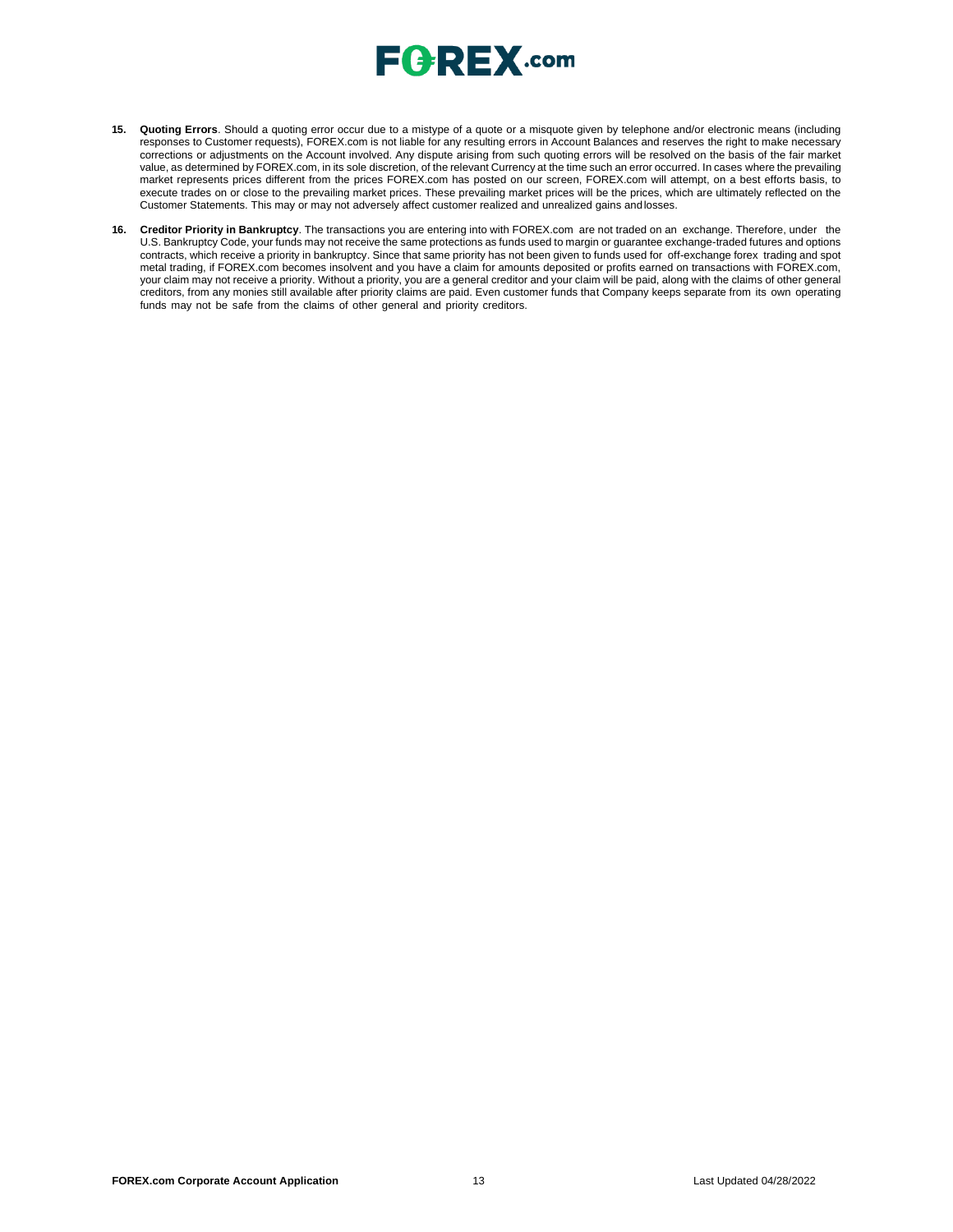

- **15. Quoting Errors**. Should a quoting error occur due to a mistype of a quote or a misquote given by telephone and/or electronic means (including responses to Customer requests), FOREX.com is not liable for any resulting errors in Account Balances and reserves the right to make necessary corrections or adjustments on the Account involved. Any dispute arising from such quoting errors will be resolved on the basis of the fair market value, as determined by FOREX.com, in its sole discretion, of the relevant Currency at the time such an error occurred. In cases where the prevailing market represents prices different from the prices FOREX.com has posted on our screen, FOREX.com will attempt, on a best efforts basis, to execute trades on or close to the prevailing market prices. These prevailing market prices will be the prices, which are ultimately reflected on the Customer Statements. This may or may not adversely affect customer realized and unrealized gains andlosses.
- **16. Creditor Priority in Bankruptcy**. The transactions you are entering into with FOREX.com are not traded on an exchange. Therefore, under the U.S. Bankruptcy Code, your funds may not receive the same protections as funds used to margin or guarantee exchange-traded futures and options contracts, which receive a priority in bankruptcy. Since that same priority has not been given to funds used for off-exchange forex trading and spot metal trading, if FOREX.com becomes insolvent and you have a claim for amounts deposited or profits earned on transactions with FOREX.com, your claim may not receive a priority. Without a priority, you are a general creditor and your claim will be paid, along with the claims of other general creditors, from any monies still available after priority claims are paid. Even customer funds that Company keeps separate from its own operating funds may not be safe from the claims of other general and priority creditors.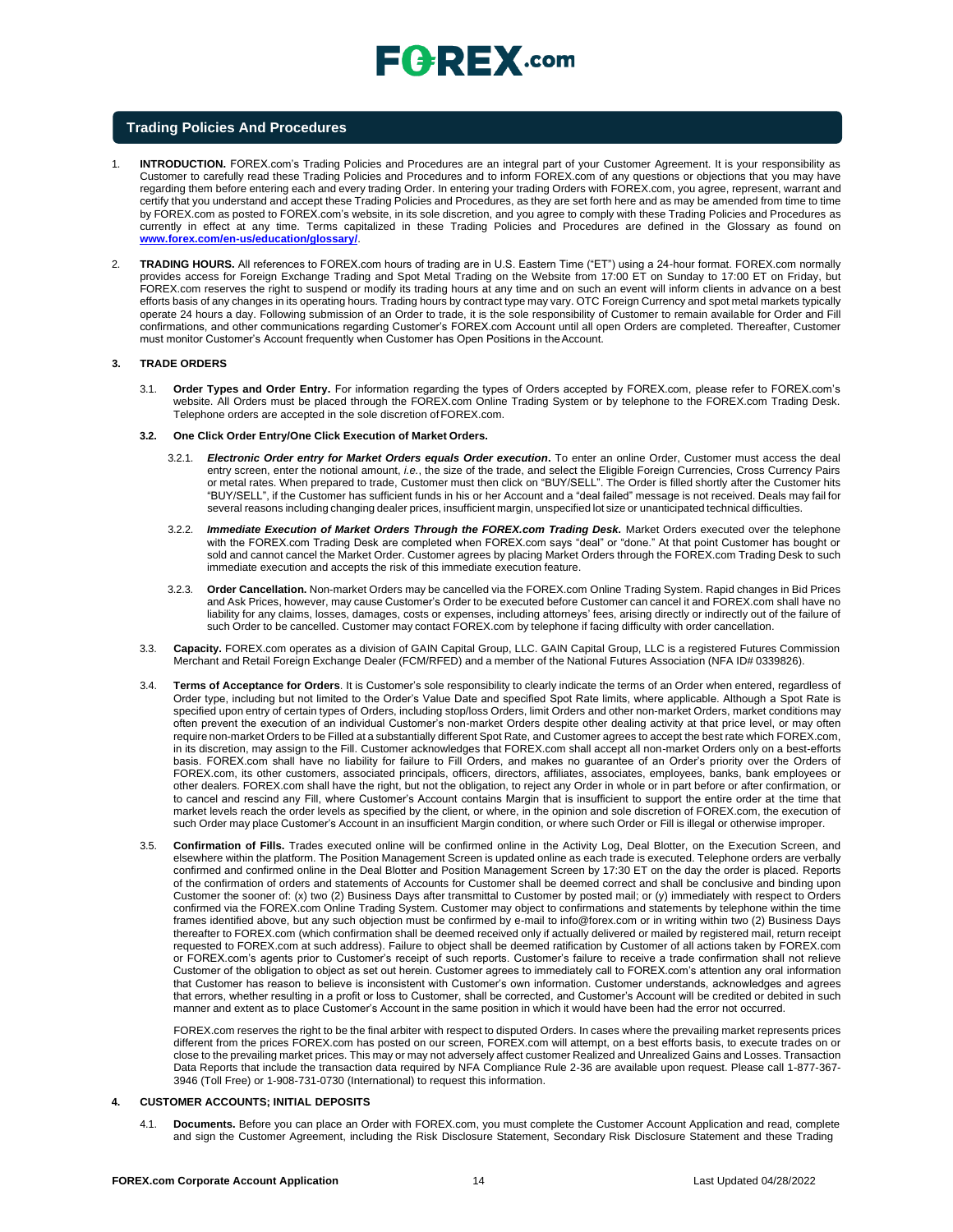

#### **Trading Policies And Procedures**

- 1. **INTRODUCTION.** FOREX.com's Trading Policies and Procedures are an integral part of your Customer Agreement. It is your responsibility as Customer to carefully read these Trading Policies and Procedures and to inform FOREX.com of any questions or objections that you may have regarding them before entering each and every trading Order. In entering your trading Orders with FOREX.com, you agree, represent, warrant and certify that you understand and accept these Trading Policies and Procedures, as they are set forth here and as may be amended from time to time by FOREX.com as posted to FOREX.com's website, in its sole discretion, and you agree to comply with these Trading Policies and Procedures as currently in effect at any time. Terms capitalized in these Trading Policies and Procedures are defined in the Glossary as found o[n](http://www.forex.com/en-us/education/glossary/) **[www.forex.com/en-us/education/glossary/](http://www.forex.com/en-us/education/glossary/)**.
- 2. **TRADING HOURS.** All references to FOREX.com hours of trading are in U.S. Eastern Time ("ET") using a 24-hour format. FOREX.com normally provides access for Foreign Exchange Trading and Spot Metal Trading on the Website from 17:00 ET on Sunday to 17:00 ET on Friday, but FOREX.com reserves the right to suspend or modify its trading hours at any time and on such an event will inform clients in advance on a best efforts basis of any changes in its operating hours. Trading hours by contract type may vary. OTC Foreign Currency and spot metal markets typically operate 24 hours a day. Following submission of an Order to trade, it is the sole responsibility of Customer to remain available for Order and Fill confirmations, and other communications regarding Customer's FOREX.com Account until all open Orders are completed. Thereafter, Customer must monitor Customer's Account frequently when Customer has Open Positions in the Account.

#### **3. TRADE ORDERS**

- 3.1. **Order Types and Order Entry.** For information regarding the types of Orders accepted by FOREX.com, please refer to FOREX.com's website. All Orders must be placed through the FOREX.com Online Trading System or by telephone to the FOREX.com Trading Desk. Telephone orders are accepted in the sole discretion of FOREX.com.
- **3.2. One Click Order Entry/One Click Execution of Market Orders.**
	- 3.2.1. *Electronic Order entry for Market Orders equals Order execution***.** To enter an online Order, Customer must access the deal entry screen, enter the notional amount, *i.e.*, the size of the trade, and select the Eligible Foreign Currencies, Cross Currency Pairs or metal rates. When prepared to trade, Customer must then click on "BUY/SELL". The Order is filled shortly after the Customer hits "BUY/SELL", if the Customer has sufficient funds in his or her Account and a "deal failed" message is not received. Deals may fail for several reasons including changing dealer prices, insufficient margin, unspecified lot size or unanticipated technical difficulties
	- 3.2.2. *Immediate Execution of Market Orders Through the FOREX.com Trading Desk.* Market Orders executed over the telephone with the FOREX.com Trading Desk are completed when FOREX.com says "deal" or "done." At that point Customer has bought or sold and cannot cancel the Market Order. Customer agrees by placing Market Orders through the FOREX.com Trading Desk to such immediate execution and accepts the risk of this immediate execution feature.
	- 3.2.3. **Order Cancellation.** Non-market Orders may be cancelled via the FOREX.com Online Trading System. Rapid changes in Bid Prices and Ask Prices, however, may cause Customer's Order to be executed before Customer can cancel it and FOREX.com shall have no liability for any claims, losses, damages, costs or expenses, including attorneys' fees, arising directly or indirectly out of the failure of such Order to be cancelled. Customer may contact FOREX.com by telephone if facing difficulty with order cancellation.
- 3.3. **Capacity.** FOREX.com operates as a division of GAIN Capital Group, LLC. GAIN Capital Group, LLC is a registered Futures Commission Merchant and Retail Foreign Exchange Dealer (FCM/RFED) and a member of the National Futures Association (NFA ID# 0339826).
- 3.4. **Terms of Acceptance for Orders**. It is Customer's sole responsibility to clearly indicate the terms of an Order when entered, regardless of Order type, including but not limited to the Order's Value Date and specified Spot Rate limits, where applicable. Although a Spot Rate is specified upon entry of certain types of Orders, including stop/loss Orders, limit Orders and other non-market Orders, market conditions may often prevent the execution of an individual Customer's non-market Orders despite other dealing activity at that price level, or may often require non-market Orders to be Filled at a substantially different Spot Rate, and Customer agrees to accept the best rate which FOREX.com, in its discretion, may assign to the Fill. Customer acknowledges that FOREX.com shall accept all non-market Orders only on a best-efforts basis. FOREX.com shall have no liability for failure to Fill Orders, and makes no guarantee of an Order's priority over the Orders of FOREX.com, its other customers, associated principals, officers, directors, affiliates, associates, employees, banks, bank employees or other dealers. FOREX.com shall have the right, but not the obligation, to reject any Order in whole or in part before or after confirmation, or to cancel and rescind any Fill, where Customer's Account contains Margin that is insufficient to support the entire order at the time that market levels reach the order levels as specified by the client, or where, in the opinion and sole discretion of FOREX.com, the execution of such Order may place Customer's Account in an insufficient Margin condition, or where such Order or Fill is illegal or otherwise improper.
- 3.5. **Confirmation of Fills.** Trades executed online will be confirmed online in the Activity Log, Deal Blotter, on the Execution Screen, and elsewhere within the platform. The Position Management Screen is updated online as each trade is executed. Telephone orders are verbally confirmed and confirmed online in the Deal Blotter and Position Management Screen by 17:30 ET on the day the order is placed. Reports of the confirmation of orders and statements of Accounts for Customer shall be deemed correct and shall be conclusive and binding upon Customer the sooner of: (x) two (2) Business Days after transmittal to Customer by posted mail; or (y) immediately with respect to Orders confirmed via the FOREX.com Online Trading System. Customer may object to confirmations and statements by telephone within the time frames identified above, but any such objection must be confirmed by e-mail t[o info@forex.com o](mailto:info@forex.com)r in writing within two (2) Business Days thereafter to FOREX.com (which confirmation shall be deemed received only if actually delivered or mailed by registered mail, return receipt requested to FOREX.com at such address). Failure to object shall be deemed ratification by Customer of all actions taken by FOREX.com or FOREX.com's agents prior to Customer's receipt of such reports. Customer's failure to receive a trade confirmation shall not relieve Customer of the obligation to object as set out herein. Customer agrees to immediately call to FOREX.com's attention any oral information that Customer has reason to believe is inconsistent with Customer's own information. Customer understands, acknowledges and agrees that errors, whether resulting in a profit or loss to Customer, shall be corrected, and Customer's Account will be credited or debited in such manner and extent as to place Customer's Account in the same position in which it would have been had the error not occurred.

FOREX.com reserves the right to be the final arbiter with respect to disputed Orders. In cases where the prevailing market represents prices different from the prices FOREX.com has posted on our screen, FOREX.com will attempt, on a best efforts basis, to execute trades on or close to the prevailing market prices. This may or may not adversely affect customer Realized and Unrealized Gains and Losses. Transaction Data Reports that include the transaction data required by NFA Compliance Rule 2-36 are available upon request. Please call 1-877-367- 3946 (Toll Free) or 1-908-731-0730 (International) to request this information.

#### **4. CUSTOMER ACCOUNTS; INITIAL DEPOSITS**

4.1. **Documents.** Before you can place an Order with FOREX.com, you must complete the Customer Account Application and read, complete and sign the Customer Agreement, including the Risk Disclosure Statement, Secondary Risk Disclosure Statement and these Trading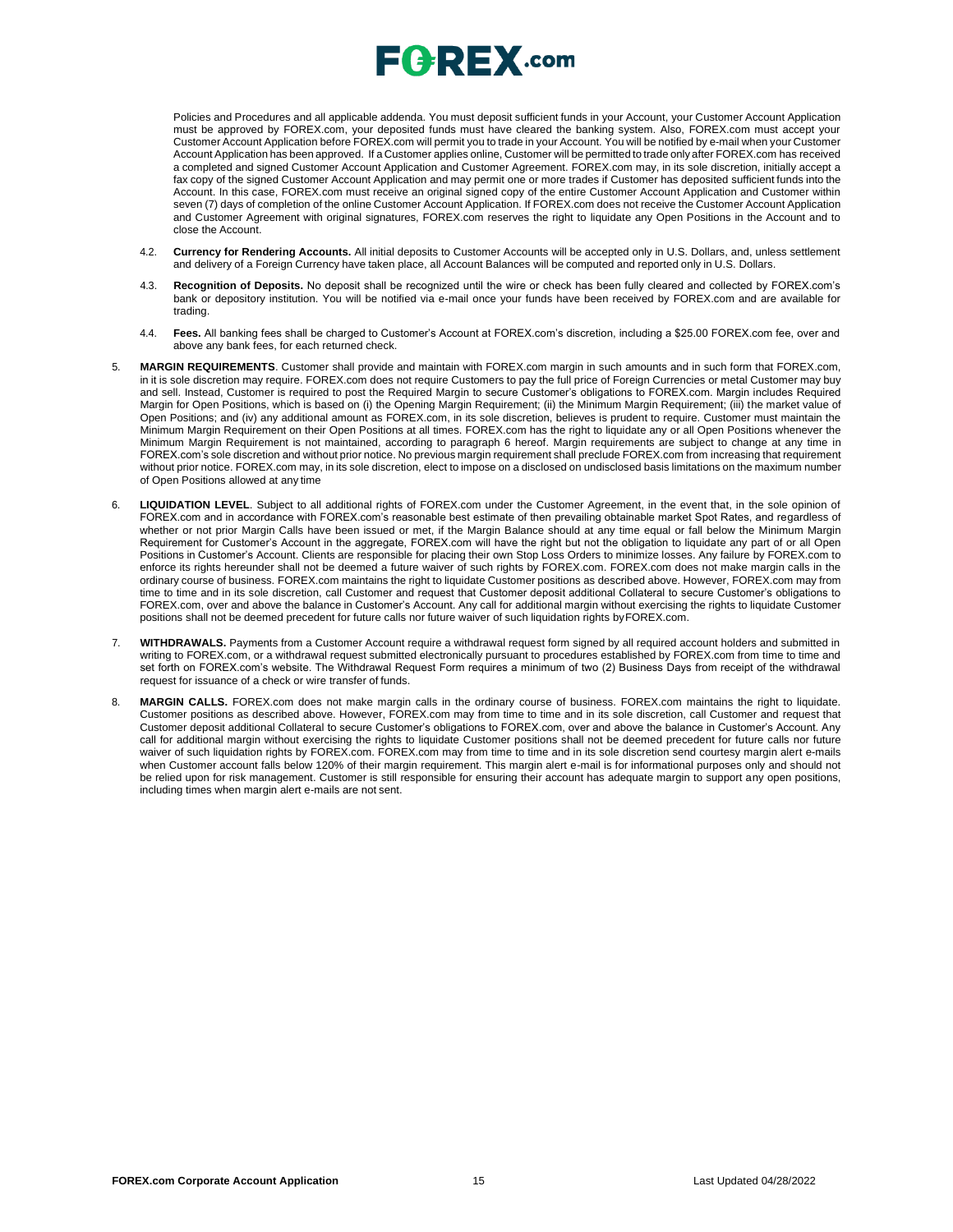Policies and Procedures and all applicable addenda. You must deposit sufficient funds in your Account, your Customer Account Application must be approved by FOREX.com, your deposited funds must have cleared the banking system. Also, FOREX.com must accept your Customer Account Application before FOREX.com will permit you to trade in your Account. You will be notified by e-mail when your Customer Account Application has been approved. If a Customer applies online, Customer will be permitted to trade only after FOREX.com has received a completed and signed Customer Account Application and Customer Agreement. FOREX.com may, in its sole discretion, initially accept a fax copy of the signed Customer Account Application and may permit one or more trades if Customer has deposited sufficient funds into the Account. In this case, FOREX.com must receive an original signed copy of the entire Customer Account Application and Customer within seven (7) days of completion of the online Customer Account Application. If FOREX.com does not receive the Customer Account Application and Customer Agreement with original signatures, FOREX.com reserves the right to liquidate any Open Positions in the Account and to close the Account.

- 4.2. **Currency for Rendering Accounts.** All initial deposits to Customer Accounts will be accepted only in U.S. Dollars, and, unless settlement and delivery of a Foreign Currency have taken place, all Account Balances will be computed and reported only in U.S. Dollars.
- 4.3. **Recognition of Deposits.** No deposit shall be recognized until the wire or check has been fully cleared and collected by FOREX.com's bank or depository institution. You will be notified via e-mail once your funds have been received by FOREX.com and are available for trading.
- 4.4. **Fees.** All banking fees shall be charged to Customer's Account at FOREX.com's discretion, including a \$25.00 FOREX.com fee, over and above any bank fees, for each returned check.
- 5. **MARGIN REQUIREMENTS**. Customer shall provide and maintain with FOREX.com margin in such amounts and in such form that FOREX.com, in it is sole discretion may require. FOREX.com does not require Customers to pay the full price of Foreign Currencies or metal Customer may buy and sell. Instead, Customer is required to post the Required Margin to secure Customer's obligations to FOREX.com. Margin includes Required Margin for Open Positions, which is based on (i) the Opening Margin Requirement; (ii) the Minimum Margin Requirement; (iii) the market value of Open Positions; and (iv) any additional amount as FOREX.com, in its sole discretion, believes is prudent to require. Customer must maintain the Minimum Margin Requirement on their Open Positions at all times. FOREX.com has the right to liquidate any or all Open Positions whenever the Minimum Margin Requirement is not maintained, according to paragraph 6 hereof. Margin requirements are subject to change at any time in FOREX.com's sole discretion and without prior notice. No previous margin requirement shall preclude FOREX.com from increasing that requirement without prior notice. FOREX.com may, in its sole discretion, elect to impose on a disclosed on undisclosed basis limitations on the maximum number of Open Positions allowed at any time
- 6. **LIQUIDATION LEVEL**. Subject to all additional rights of FOREX.com under the Customer Agreement, in the event that, in the sole opinion of FOREX.com and in accordance with FOREX.com's reasonable best estimate of then prevailing obtainable market Spot Rates, and regardless of whether or not prior Margin Calls have been issued or met, if the Margin Balance should at any time equal or fall below the Minimum Margin Requirement for Customer's Account in the aggregate, FOREX.com will have the right but not the obligation to liquidate any part of or all Open Positions in Customer's Account. Clients are responsible for placing their own Stop Loss Orders to minimize losses. Any failure by FOREX.com to enforce its rights hereunder shall not be deemed a future waiver of such rights by FOREX.com. FOREX.com does not make margin calls in the ordinary course of business. FOREX.com maintains the right to liquidate Customer positions as described above. However, FOREX.com may from time to time and in its sole discretion, call Customer and request that Customer deposit additional Collateral to secure Customer's obligations to FOREX.com, over and above the balance in Customer's Account. Any call for additional margin without exercising the rights to liquidate Customer positions shall not be deemed precedent for future calls nor future waiver of such liquidation rights byFOREX.com.
- 7. **WITHDRAWALS.** Payments from a Customer Account require a withdrawal request form signed by all required account holders and submitted in writing to FOREX.com, or a withdrawal request submitted electronically pursuant to procedures established by FOREX.com from time to time and set forth on FOREX.com's website. The Withdrawal Request Form requires a minimum of two (2) Business Days from receipt of the withdrawal request for issuance of a check or wire transfer of funds.
- 8. **MARGIN CALLS.** FOREX.com does not make margin calls in the ordinary course of business. FOREX.com maintains the right to liquidate. Customer positions as described above. However, FOREX.com may from time to time and in its sole discretion, call Customer and request that Customer deposit additional Collateral to secure Customer's obligations to FOREX.com, over and above the balance in Customer's Account. Any call for additional margin without exercising the rights to liquidate Customer positions shall not be deemed precedent for future calls nor future waiver of such liquidation rights by FOREX.com. FOREX.com may from time to time and in its sole discretion send courtesy margin alert e-mails when Customer account falls below 120% of their margin requirement. This margin alert e-mail is for informational purposes only and should not be relied upon for risk management. Customer is still responsible for ensuring their account has adequate margin to support any open positions, including times when margin alert e-mails are not sent.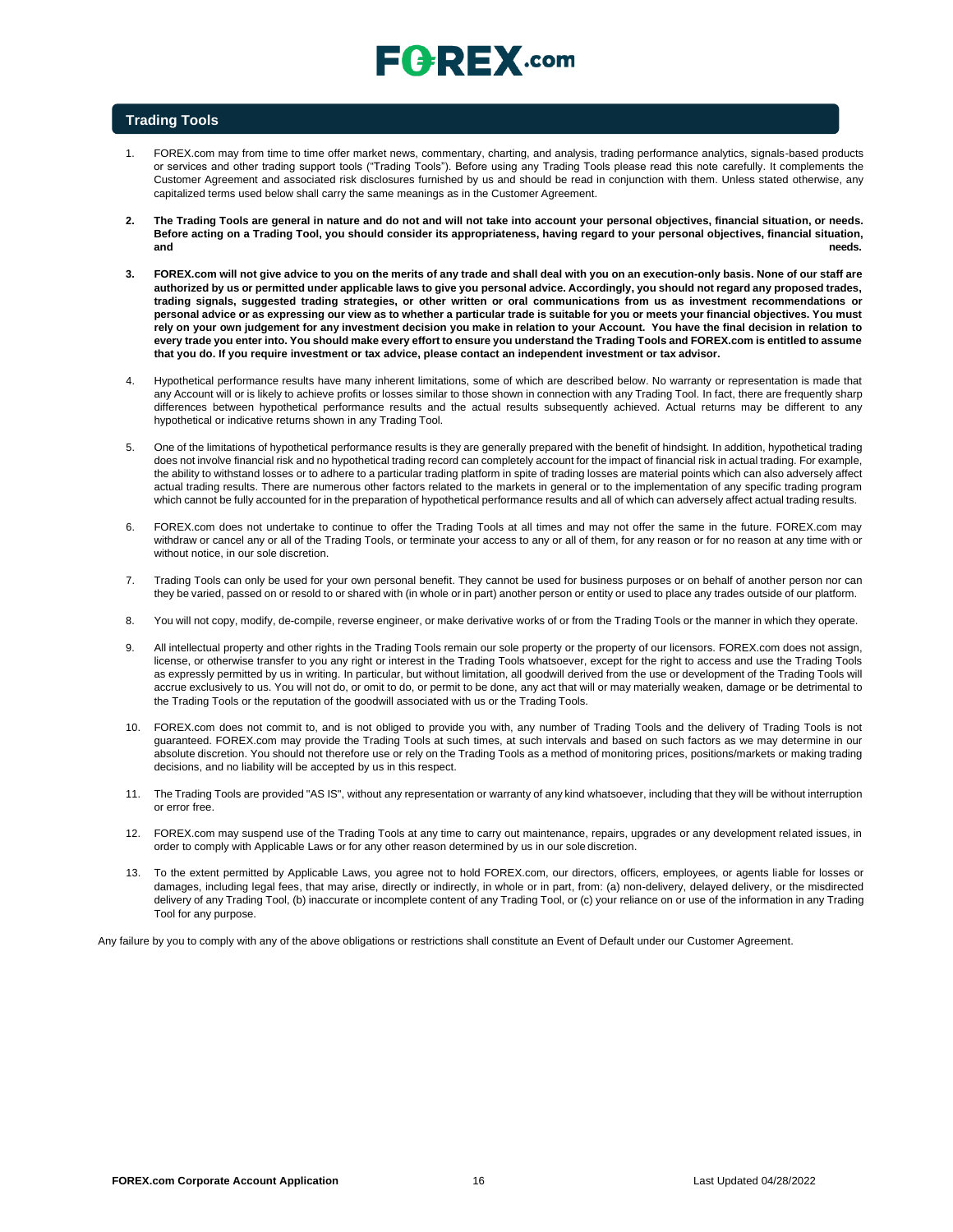# $\sqsubseteq$   $\sqsubseteq$   $\sqsubseteq$   $\sqtimes$  .com

### **Trading Tools**

- 1. FOREX.com may from time to time offer market news, commentary, charting, and analysis, trading performance analytics, signals-based products or services and other trading support tools ("Trading Tools"). Before using any Trading Tools please read this note carefully. It complements the Customer Agreement and associated risk disclosures furnished by us and should be read in conjunction with them. Unless stated otherwise, any capitalized terms used below shall carry the same meanings as in the Customer Agreement.
- **2. The Trading Tools are general in nature and do not and will not take into account your personal objectives, financial situation, or needs. Before acting on a Trading Tool, you should consider its appropriateness, having regard to your personal objectives, financial situation, and needs.**
- **3. FOREX.com will not give advice to you on the merits of any trade and shall deal with you on an execution-only basis. None of our staff are authorized by us or permitted under applicable laws to give you personal advice. Accordingly, you should not regard any proposed trades, trading signals, suggested trading strategies, or other written or oral communications from us as investment recommendations or personal advice or as expressing our view as to whether a particular trade is suitable for you or meets your financial objectives. You must** rely on your own judgement for any investment decision you make in relation to your Account. You have the final decision in relation to **every trade you enter into. You should make every effort to ensure you understand the Trading Tools and FOREX.com is entitled to assume that you do. If you require investment or tax advice, please contact an independent investment or tax advisor.**
- 4. Hypothetical performance results have many inherent limitations, some of which are described below. No warranty or representation is made that any Account will or is likely to achieve profits or losses similar to those shown in connection with any Trading Tool. In fact, there are frequently sharp differences between hypothetical performance results and the actual results subsequently achieved. Actual returns may be different to any hypothetical or indicative returns shown in any Trading Tool.
- 5. One of the limitations of hypothetical performance results is they are generally prepared with the benefit of hindsight. In addition, hypothetical trading does not involve financial risk and no hypothetical trading record can completely account for the impact of financial risk in actual trading. For example, the ability to withstand losses or to adhere to a particular trading platform in spite of trading losses are material points which can also adversely affect actual trading results. There are numerous other factors related to the markets in general or to the implementation of any specific trading program which cannot be fully accounted for in the preparation of hypothetical performance results and all of which can adversely affect actual trading results.
- 6. FOREX.com does not undertake to continue to offer the Trading Tools at all times and may not offer the same in the future. FOREX.com may withdraw or cancel any or all of the Trading Tools, or terminate your access to any or all of them, for any reason or for no reason at any time with or without notice, in our sole discretion.
- 7. Trading Tools can only be used for your own personal benefit. They cannot be used for business purposes or on behalf of another person nor can they be varied, passed on or resold to or shared with (in whole or in part) another person or entity or used to place any trades outside of our platform.
- 8. You will not copy, modify, de-compile, reverse engineer, or make derivative works of or from the Trading Tools or the manner in which they operate.
- 9. All intellectual property and other rights in the Trading Tools remain our sole property or the property of our licensors. FOREX.com does not assign, license, or otherwise transfer to you any right or interest in the Trading Tools whatsoever, except for the right to access and use the Trading Tools as expressly permitted by us in writing. In particular, but without limitation, all goodwill derived from the use or development of the Trading Tools will accrue exclusively to us. You will not do, or omit to do, or permit to be done, any act that will or may materially weaken, damage or be detrimental to the Trading Tools or the reputation of the goodwill associated with us or the Trading Tools.
- 10. FOREX.com does not commit to, and is not obliged to provide you with, any number of Trading Tools and the delivery of Trading Tools is not guaranteed. FOREX.com may provide the Trading Tools at such times, at such intervals and based on such factors as we may determine in our absolute discretion. You should not therefore use or rely on the Trading Tools as a method of monitoring prices, positions/markets or making trading decisions, and no liability will be accepted by us in this respect.
- 11. The Trading Tools are provided "AS IS", without any representation or warranty of any kind whatsoever, including that they will be without interruption or error free.
- 12. FOREX.com may suspend use of the Trading Tools at any time to carry out maintenance, repairs, upgrades or any development related issues, in order to comply with Applicable Laws or for any other reason determined by us in our sole discretion.
- 13. To the extent permitted by Applicable Laws, you agree not to hold FOREX.com, our directors, officers, employees, or agents liable for losses or damages, including legal fees, that may arise, directly or indirectly, in whole or in part, from: (a) non-delivery, delayed delivery, or the misdirected delivery of any Trading Tool, (b) inaccurate or incomplete content of any Trading Tool, or (c) your reliance on or use of the information in any Trading Tool for any purpose.

Any failure by you to comply with any of the above obligations or restrictions shall constitute an Event of Default under our Customer Agreement.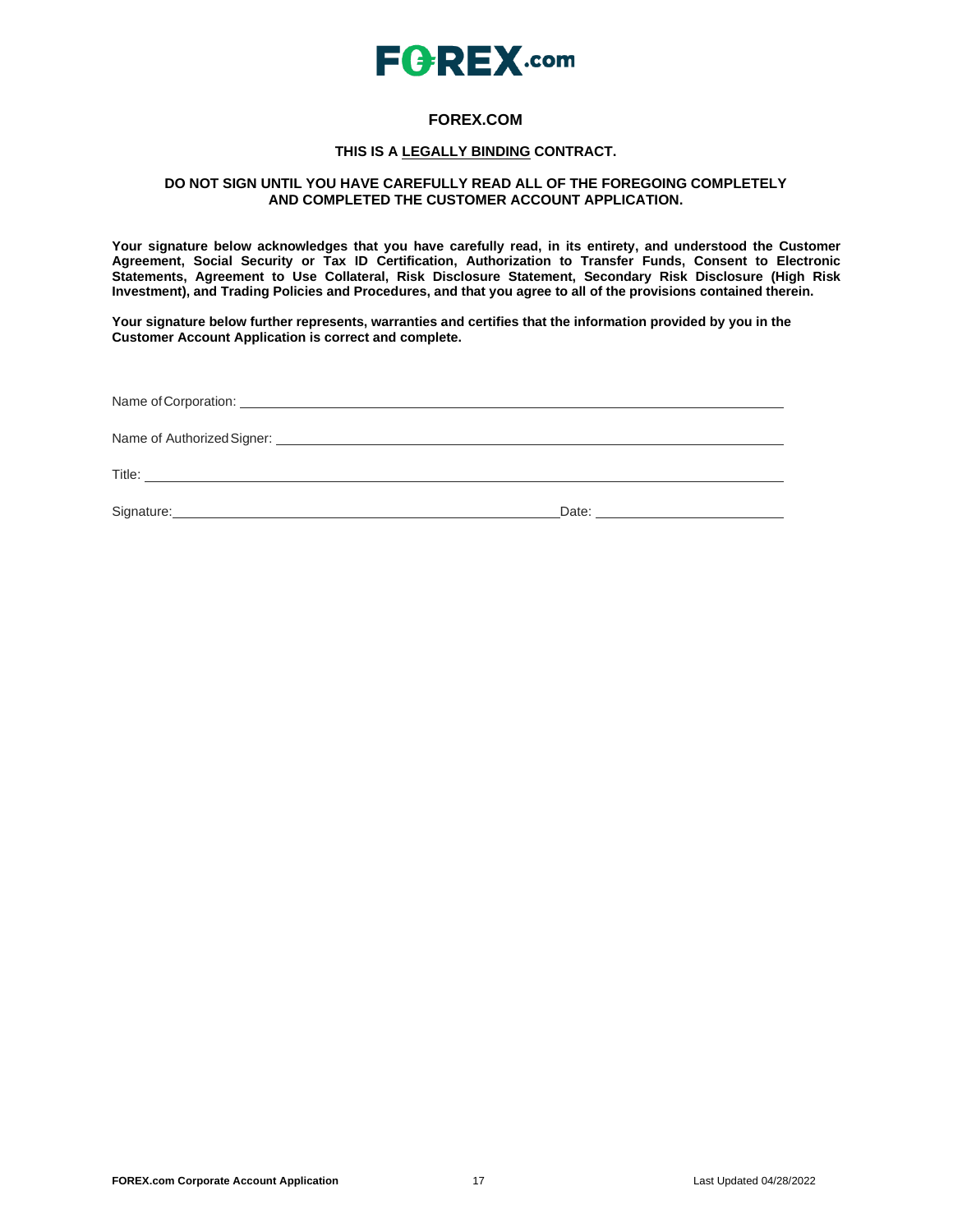

## **FOREX.COM**

### **THIS IS A LEGALLY BINDING CONTRACT.**

### **DO NOT SIGN UNTIL YOU HAVE CAREFULLY READ ALL OF THE FOREGOING COMPLETELY AND COMPLETED THE CUSTOMER ACCOUNT APPLICATION.**

**Your signature below acknowledges that you have carefully read, in its entirety, and understood the Customer Agreement, Social Security or Tax ID Certification, Authorization to Transfer Funds, Consent to Electronic Statements, Agreement to Use Collateral, Risk Disclosure Statement, Secondary Risk Disclosure (High Risk Investment), and Trading Policies and Procedures, and that you agree to all of the provisions contained therein.**

**Your signature below further represents, warranties and certifies that the information provided by you in the Customer Account Application is correct and complete.**

| Signature: <u>Contract Communication</u> |  |  |  |  |
|------------------------------------------|--|--|--|--|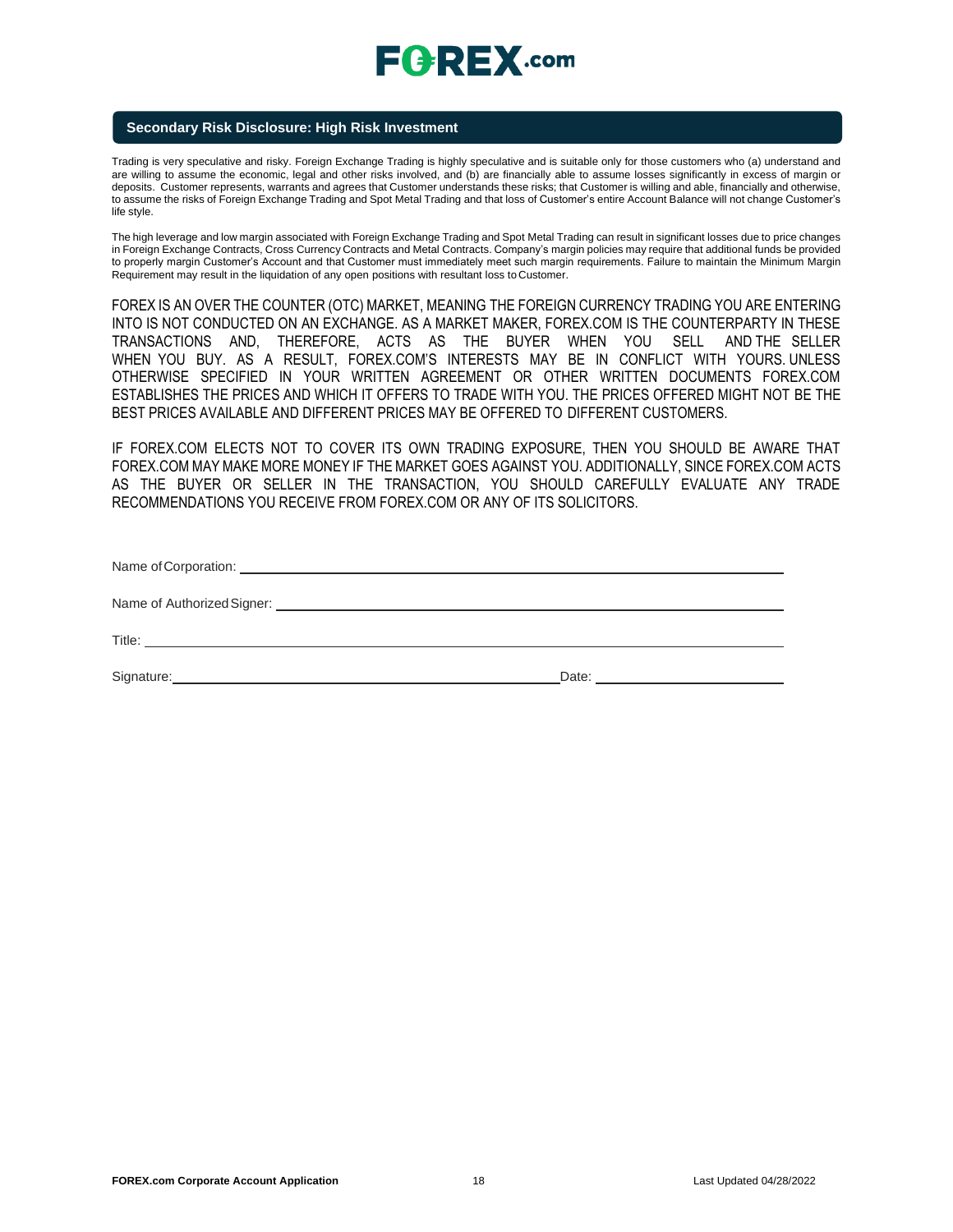# $E$ **CREX**.com

### **Secondary Risk Disclosure: High Risk Investment**

Trading is very speculative and risky. Foreign Exchange Trading is highly speculative and is suitable only for those customers who (a) understand and are willing to assume the economic, legal and other risks involved, and (b) are financially able to assume losses significantly in excess of margin or deposits. Customer represents, warrants and agrees that Customer understands these risks; that Customer is willing and able, financially and otherwise, to assume the risks of Foreign Exchange Trading and Spot Metal Trading and that loss of Customer's entire Account Balance will not change Customer's life style.

The high leverage and low margin associated with Foreign Exchange Trading and Spot Metal Trading can result in significant losses due to price changes in Foreign Exchange Contracts, Cross Currency Contracts and Metal Contracts. Company's margin policies may require that additional funds be provided to properly margin Customer's Account and that Customer must immediately meet such margin requirements. Failure to maintain the Minimum Margin Requirement may result in the liquidation of any open positions with resultant loss toCustomer.

FOREX IS AN OVER THE COUNTER (OTC) MARKET, MEANING THE FOREIGN CURRENCY TRADING YOU ARE ENTERING INTO IS NOT CONDUCTED ON AN EXCHANGE. AS A MARKET MAKER, FOREX.COM IS THE COUNTERPARTY IN THESE TRANSACTIONS AND, THEREFORE, ACTS AS THE BUYER WHEN YOU SELL AND THE SELLER WHEN YOU BUY. AS A RESULT, FOREX.COM'S INTERESTS MAY BE IN CONFLICT WITH YOURS. UNLESS OTHERWISE SPECIFIED IN YOUR WRITTEN AGREEMENT OR OTHER WRITTEN DOCUMENTS FOREX.COM ESTABLISHES THE PRICES AND WHICH IT OFFERS TO TRADE WITH YOU. THE PRICES OFFERED MIGHT NOT BE THE BEST PRICES AVAILABLE AND DIFFERENT PRICES MAY BE OFFERED TO DIFFERENT CUSTOMERS.

IF FOREX.COM ELECTS NOT TO COVER ITS OWN TRADING EXPOSURE, THEN YOU SHOULD BE AWARE THAT FOREX.COM MAY MAKE MORE MONEY IF THE MARKET GOES AGAINST YOU. ADDITIONALLY, SINCE FOREX.COM ACTS AS THE BUYER OR SELLER IN THE TRANSACTION, YOU SHOULD CAREFULLY EVALUATE ANY TRADE RECOMMENDATIONS YOU RECEIVE FROM FOREX.COM OR ANY OF ITS SOLICITORS.

| Signature: <u>Contract of Contract and Contract and Contract and Contract and Contract and Contract and Contract and Contract and Contract and Contract and Contract and Contract and Contract and Contract and Contract and Con</u> | Date: |  |  |  |
|--------------------------------------------------------------------------------------------------------------------------------------------------------------------------------------------------------------------------------------|-------|--|--|--|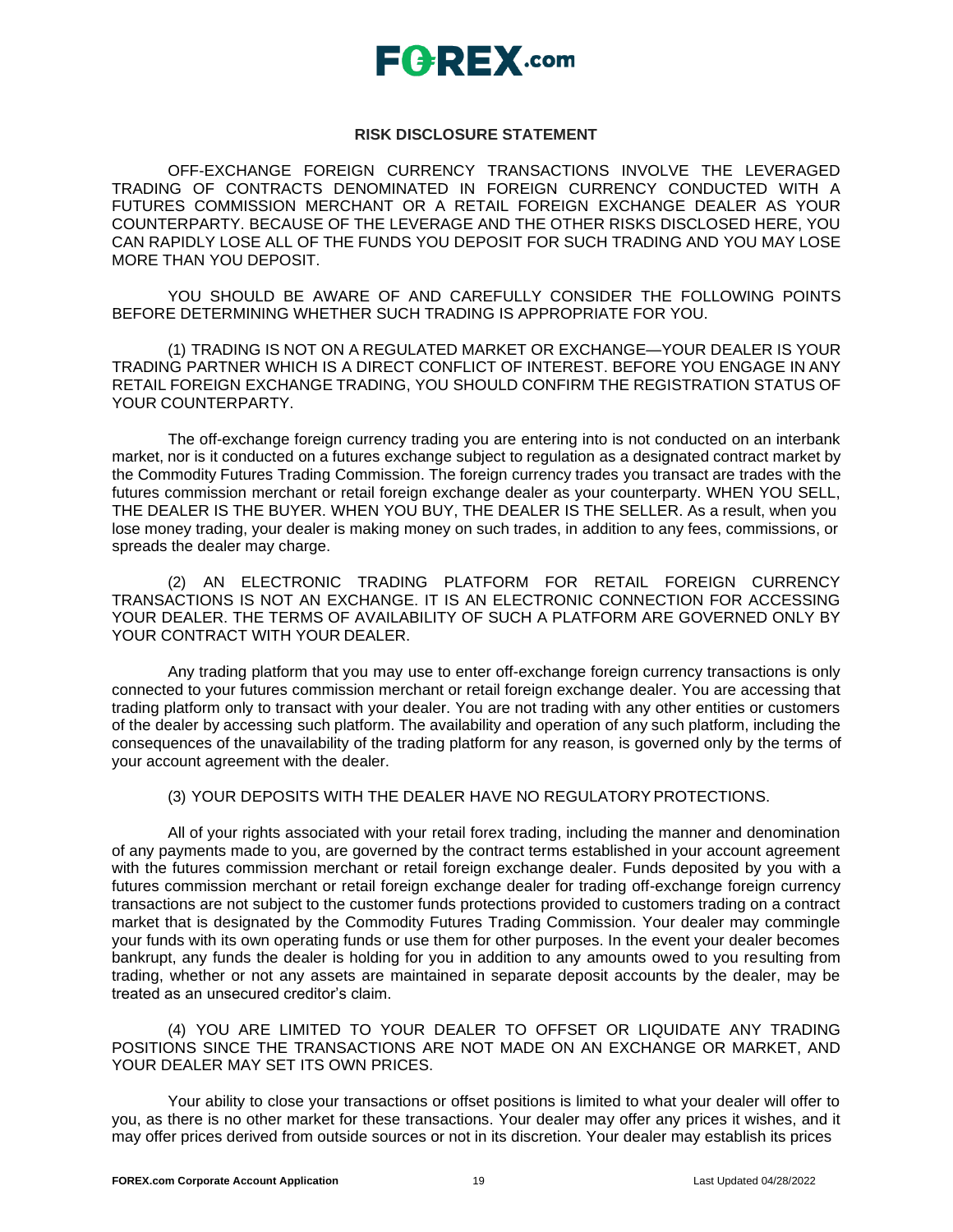

### **RISK DISCLOSURE STATEMENT**

OFF-EXCHANGE FOREIGN CURRENCY TRANSACTIONS INVOLVE THE LEVERAGED TRADING OF CONTRACTS DENOMINATED IN FOREIGN CURRENCY CONDUCTED WITH A FUTURES COMMISSION MERCHANT OR A RETAIL FOREIGN EXCHANGE DEALER AS YOUR COUNTERPARTY. BECAUSE OF THE LEVERAGE AND THE OTHER RISKS DISCLOSED HERE, YOU CAN RAPIDLY LOSE ALL OF THE FUNDS YOU DEPOSIT FOR SUCH TRADING AND YOU MAY LOSE MORE THAN YOU DEPOSIT.

YOU SHOULD BE AWARE OF AND CAREFULLY CONSIDER THE FOLLOWING POINTS BEFORE DETERMINING WHETHER SUCH TRADING IS APPROPRIATE FOR YOU.

(1) TRADING IS NOT ON A REGULATED MARKET OR EXCHANGE—YOUR DEALER IS YOUR TRADING PARTNER WHICH IS A DIRECT CONFLICT OF INTEREST. BEFORE YOU ENGAGE IN ANY RETAIL FOREIGN EXCHANGE TRADING, YOU SHOULD CONFIRM THE REGISTRATION STATUS OF YOUR COUNTERPARTY.

The off-exchange foreign currency trading you are entering into is not conducted on an interbank market, nor is it conducted on a futures exchange subject to regulation as a designated contract market by the Commodity Futures Trading Commission. The foreign currency trades you transact are trades with the futures commission merchant or retail foreign exchange dealer as your counterparty. WHEN YOU SELL, THE DEALER IS THE BUYER. WHEN YOU BUY, THE DEALER IS THE SELLER. As a result, when you lose money trading, your dealer is making money on such trades, in addition to any fees, commissions, or spreads the dealer may charge.

(2) AN ELECTRONIC TRADING PLATFORM FOR RETAIL FOREIGN CURRENCY TRANSACTIONS IS NOT AN EXCHANGE. IT IS AN ELECTRONIC CONNECTION FOR ACCESSING YOUR DEALER. THE TERMS OF AVAILABILITY OF SUCH A PLATFORM ARE GOVERNED ONLY BY YOUR CONTRACT WITH YOUR DEALER.

Any trading platform that you may use to enter off-exchange foreign currency transactions is only connected to your futures commission merchant or retail foreign exchange dealer. You are accessing that trading platform only to transact with your dealer. You are not trading with any other entities or customers of the dealer by accessing such platform. The availability and operation of any such platform, including the consequences of the unavailability of the trading platform for any reason, is governed only by the terms of your account agreement with the dealer.

### (3) YOUR DEPOSITS WITH THE DEALER HAVE NO REGULATORYPROTECTIONS.

All of your rights associated with your retail forex trading, including the manner and denomination of any payments made to you, are governed by the contract terms established in your account agreement with the futures commission merchant or retail foreign exchange dealer. Funds deposited by you with a futures commission merchant or retail foreign exchange dealer for trading off-exchange foreign currency transactions are not subject to the customer funds protections provided to customers trading on a contract market that is designated by the Commodity Futures Trading Commission. Your dealer may commingle your funds with its own operating funds or use them for other purposes. In the event your dealer becomes bankrupt, any funds the dealer is holding for you in addition to any amounts owed to you resulting from trading, whether or not any assets are maintained in separate deposit accounts by the dealer, may be treated as an unsecured creditor's claim.

(4) YOU ARE LIMITED TO YOUR DEALER TO OFFSET OR LIQUIDATE ANY TRADING POSITIONS SINCE THE TRANSACTIONS ARE NOT MADE ON AN EXCHANGE OR MARKET, AND YOUR DEALER MAY SET ITS OWN PRICES.

Your ability to close your transactions or offset positions is limited to what your dealer will offer to you, as there is no other market for these transactions. Your dealer may offer any prices it wishes, and it may offer prices derived from outside sources or not in its discretion. Your dealer may establish its prices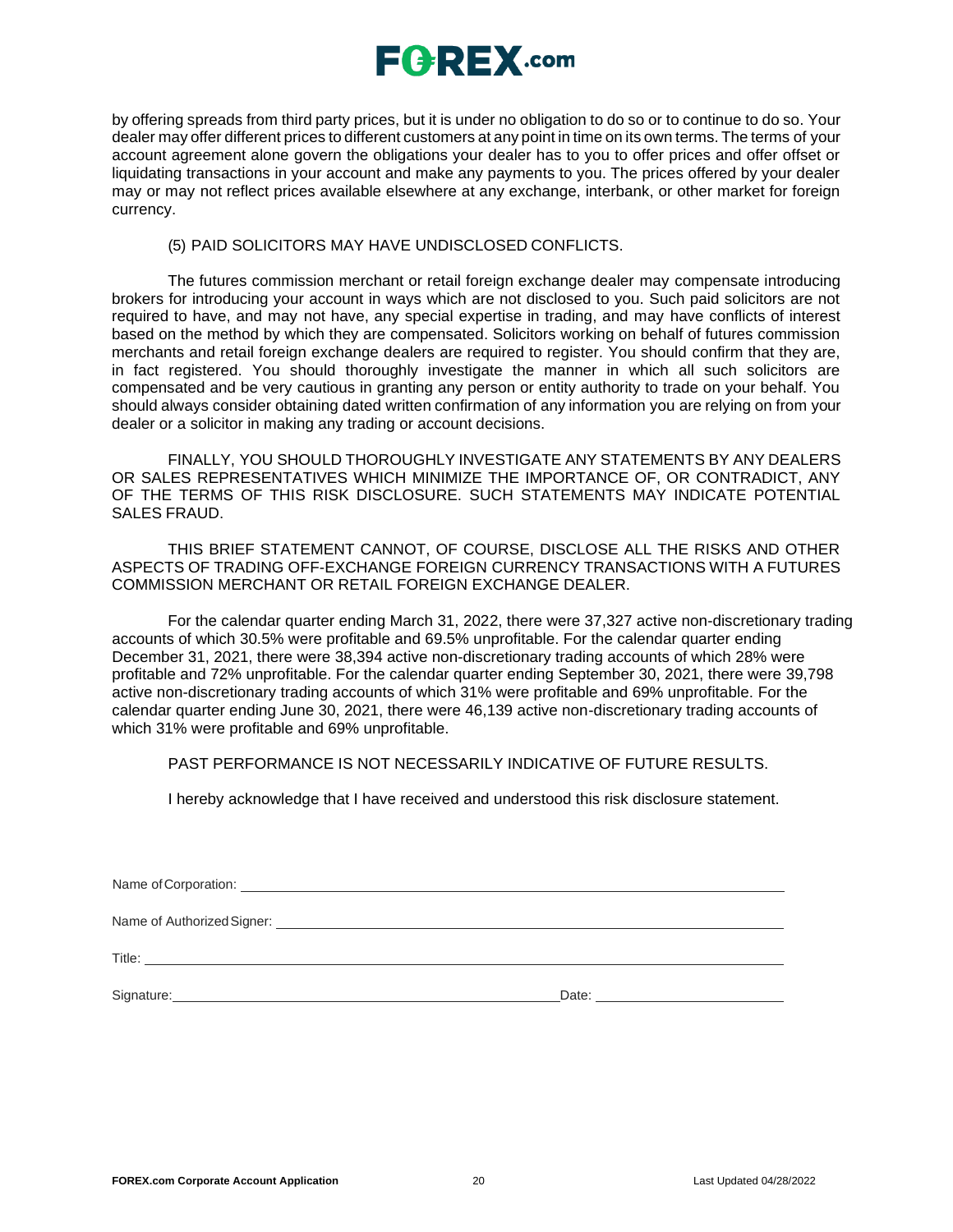

by offering spreads from third party prices, but it is under no obligation to do so or to continue to do so. Your dealer may offer different prices to different customers at any point in time on its own terms. The terms of your account agreement alone govern the obligations your dealer has to you to offer prices and offer offset or liquidating transactions in your account and make any payments to you. The prices offered by your dealer may or may not reflect prices available elsewhere at any exchange, interbank, or other market for foreign currency.

### (5) PAID SOLICITORS MAY HAVE UNDISCLOSED CONFLICTS.

The futures commission merchant or retail foreign exchange dealer may compensate introducing brokers for introducing your account in ways which are not disclosed to you. Such paid solicitors are not required to have, and may not have, any special expertise in trading, and may have conflicts of interest based on the method by which they are compensated. Solicitors working on behalf of futures commission merchants and retail foreign exchange dealers are required to register. You should confirm that they are, in fact registered. You should thoroughly investigate the manner in which all such solicitors are compensated and be very cautious in granting any person or entity authority to trade on your behalf. You should always consider obtaining dated written confirmation of any information you are relying on from your dealer or a solicitor in making any trading or account decisions.

FINALLY, YOU SHOULD THOROUGHLY INVESTIGATE ANY STATEMENTS BY ANY DEALERS OR SALES REPRESENTATIVES WHICH MINIMIZE THE IMPORTANCE OF, OR CONTRADICT, ANY OF THE TERMS OF THIS RISK DISCLOSURE. SUCH STATEMENTS MAY INDICATE POTENTIAL SALES FRAUD.

THIS BRIEF STATEMENT CANNOT, OF COURSE, DISCLOSE ALL THE RISKS AND OTHER ASPECTS OF TRADING OFF-EXCHANGE FOREIGN CURRENCY TRANSACTIONS WITH A FUTURES COMMISSION MERCHANT OR RETAIL FOREIGN EXCHANGE DEALER.

For the calendar quarter ending March 31, 2022, there were 37,327 active non-discretionary trading accounts of which 30.5% were profitable and 69.5% unprofitable. For the calendar quarter ending December 31, 2021, there were 38,394 active non-discretionary trading accounts of which 28% were profitable and 72% unprofitable. For the calendar quarter ending September 30, 2021, there were 39,798 active non-discretionary trading accounts of which 31% were profitable and 69% unprofitable. For the calendar quarter ending June 30, 2021, there were 46,139 active non-discretionary trading accounts of which 31% were profitable and 69% unprofitable.

### PAST PERFORMANCE IS NOT NECESSARILY INDICATIVE OF FUTURE RESULTS.

I hereby acknowledge that I have received and understood this risk disclosure statement.

Name of Corporation:

Name of Authorized Signer:  $\blacksquare$ 

Title: <u>www.community.community.community.com</u>munity.com

Signature: Date: Date: Date: Date: Date: Date: Date: Date: Date: Date: Date: Date: Date: Date: Date: Date: Date: Date: Date: Date: Date: Date: Date: Date: Date: Date: Date: Date: Date: Date: Date: Date: Date: Date: Date: D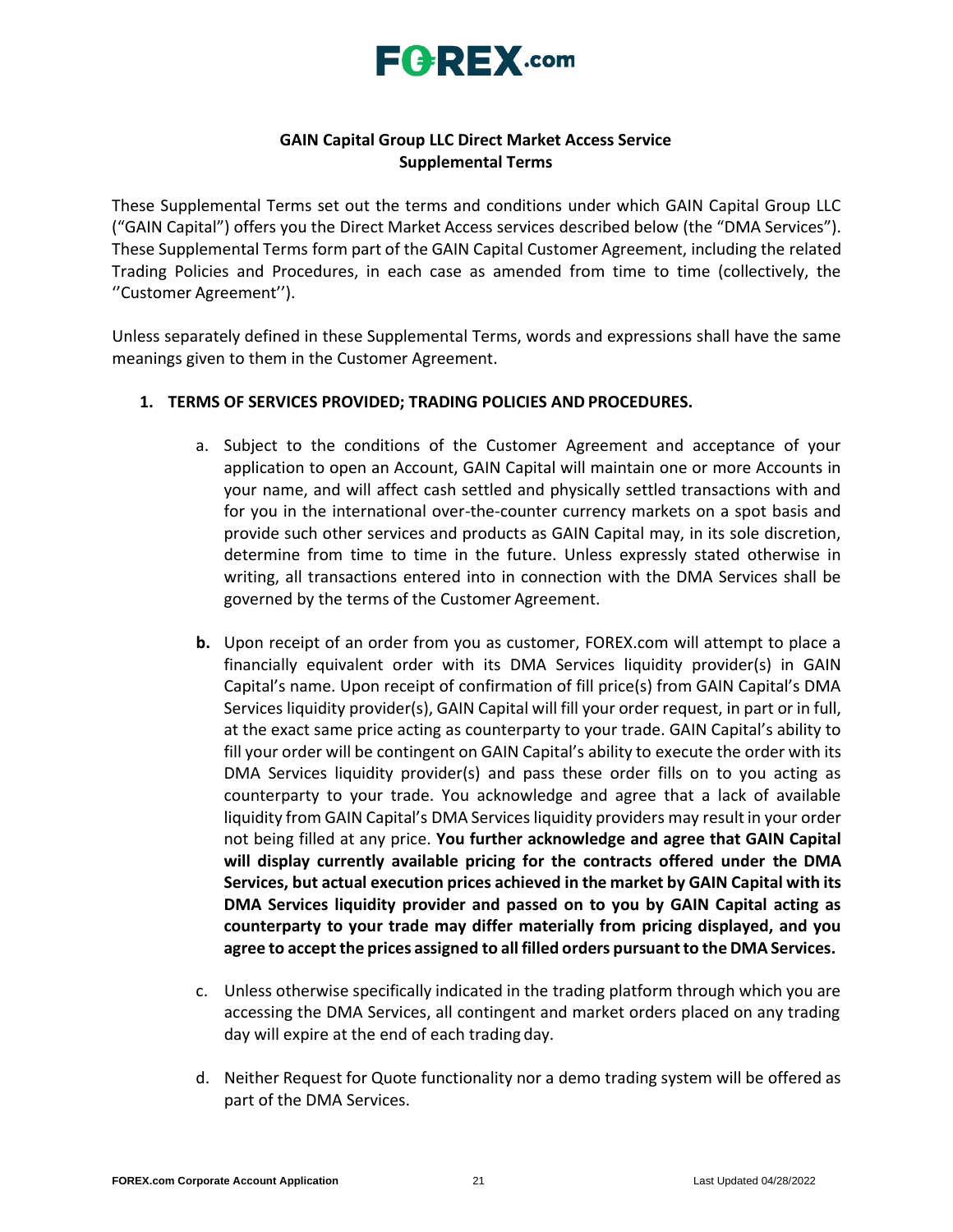

## **GAIN Capital Group LLC Direct Market Access Service Supplemental Terms**

These Supplemental Terms set out the terms and conditions under which GAIN Capital Group LLC ("GAIN Capital") offers you the Direct Market Access services described below (the "DMA Services"). These Supplemental Terms form part of the GAIN Capital Customer Agreement, including the related Trading Policies and Procedures, in each case as amended from time to time (collectively, the ''Customer Agreement'').

Unless separately defined in these Supplemental Terms, words and expressions shall have the same meanings given to them in the Customer Agreement.

## **1. TERMS OF SERVICES PROVIDED; TRADING POLICIES AND PROCEDURES.**

- a. Subject to the conditions of the Customer Agreement and acceptance of your application to open an Account, GAIN Capital will maintain one or more Accounts in your name, and will affect cash settled and physically settled transactions with and for you in the international over-the-counter currency markets on a spot basis and provide such other services and products as GAIN Capital may, in its sole discretion, determine from time to time in the future. Unless expressly stated otherwise in writing, all transactions entered into in connection with the DMA Services shall be governed by the terms of the Customer Agreement.
- **b.** Upon receipt of an order from you as customer, FOREX.com will attempt to place a financially equivalent order with its DMA Services liquidity provider(s) in GAIN Capital's name. Upon receipt of confirmation of fill price(s) from GAIN Capital's DMA Services liquidity provider(s), GAIN Capital will fill your order request, in part or in full, at the exact same price acting as counterparty to your trade. GAIN Capital's ability to fill your order will be contingent on GAIN Capital's ability to execute the order with its DMA Services liquidity provider(s) and pass these order fills on to you acting as counterparty to your trade. You acknowledge and agree that a lack of available liquidity from GAIN Capital's DMA Services liquidity providers may result in your order not being filled at any price. **You further acknowledge and agree that GAIN Capital will display currently available pricing for the contracts offered under the DMA Services, but actual execution prices achieved in the market by GAIN Capital with its DMA Services liquidity provider and passed on to you by GAIN Capital acting as counterparty to your trade may differ materially from pricing displayed, and you agree to accept the prices assigned to all filled orders pursuantto the DMA Services.**
- c. Unless otherwise specifically indicated in the trading platform through which you are accessing the DMA Services, all contingent and market orders placed on any trading day will expire at the end of each trading day.
- d. Neither Request for Quote functionality nor a demo trading system will be offered as part of the DMA Services.